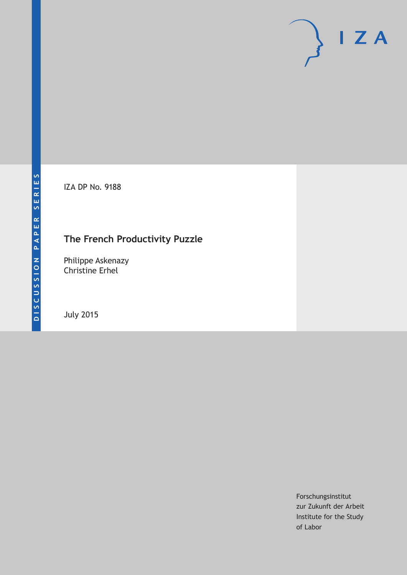IZA DP No. 9188

## **The French Productivity Puzzle**

Philippe Askenazy Christine Erhel

July 2015

Forschungsinstitut zur Zukunft der Arbeit Institute for the Study of Labor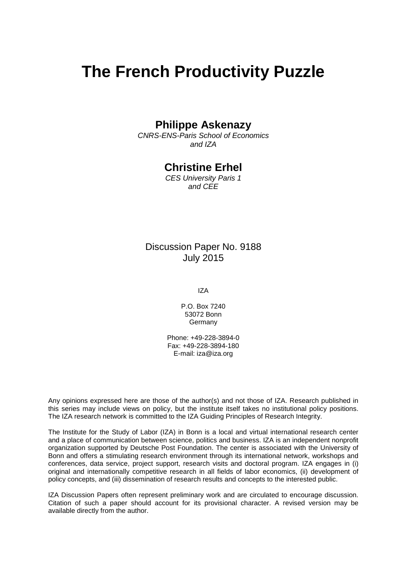# **The French Productivity Puzzle**

## **Philippe Askenazy**

*CNRS-ENS-Paris School of Economics and IZA*

## **Christine Erhel**

*CES University Paris 1 and CEE*

## Discussion Paper No. 9188 July 2015

IZA

P.O. Box 7240 53072 Bonn **Germany** 

Phone: +49-228-3894-0 Fax: +49-228-3894-180 E-mail: iza@iza.org

Any opinions expressed here are those of the author(s) and not those of IZA. Research published in this series may include views on policy, but the institute itself takes no institutional policy positions. The IZA research network is committed to the IZA Guiding Principles of Research Integrity.

The Institute for the Study of Labor (IZA) in Bonn is a local and virtual international research center and a place of communication between science, politics and business. IZA is an independent nonprofit organization supported by Deutsche Post Foundation. The center is associated with the University of Bonn and offers a stimulating research environment through its international network, workshops and conferences, data service, project support, research visits and doctoral program. IZA engages in (i) original and internationally competitive research in all fields of labor economics, (ii) development of policy concepts, and (iii) dissemination of research results and concepts to the interested public.

<span id="page-1-0"></span>IZA Discussion Papers often represent preliminary work and are circulated to encourage discussion. Citation of such a paper should account for its provisional character. A revised version may be available directly from the author.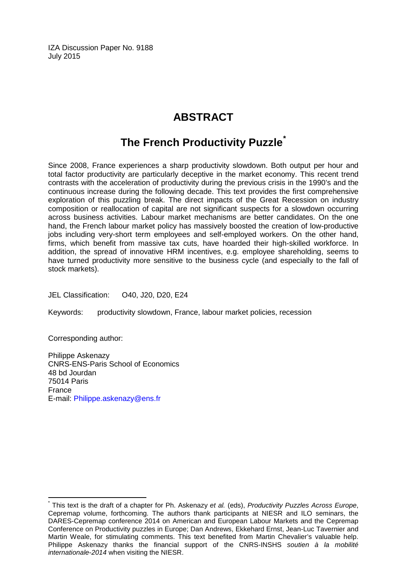IZA Discussion Paper No. 9188 July 2015

## **ABSTRACT**

## **The French Productivity Puzzle[\\*](#page-1-0)**

Since 2008, France experiences a sharp productivity slowdown. Both output per hour and total factor productivity are particularly deceptive in the market economy. This recent trend contrasts with the acceleration of productivity during the previous crisis in the 1990's and the continuous increase during the following decade. This text provides the first comprehensive exploration of this puzzling break. The direct impacts of the Great Recession on industry composition or reallocation of capital are not significant suspects for a slowdown occurring across business activities. Labour market mechanisms are better candidates. On the one hand, the French labour market policy has massively boosted the creation of low-productive jobs including very-short term employees and self-employed workers. On the other hand, firms, which benefit from massive tax cuts, have hoarded their high-skilled workforce. In addition, the spread of innovative HRM incentives, e.g. employee shareholding, seems to have turned productivity more sensitive to the business cycle (and especially to the fall of stock markets).

JEL Classification: O40, J20, D20, E24

Keywords: productivity slowdown, France, labour market policies, recession

Corresponding author:

Philippe Askenazy CNRS-ENS-Paris School of Economics 48 bd Jourdan 75014 Paris France E-mail: [Philippe.askenazy@ens.fr](mailto:Philippe.askenazy@ens.fr)

\* This text is the draft of a chapter for Ph. Askenazy *et al.* (eds), *Productivity Puzzles Across Europe*, Cepremap volume, forthcoming. The authors thank participants at NIESR and ILO seminars, the DARES-Cepremap conference 2014 on American and European Labour Markets and the Cepremap Conference on Productivity puzzles in Europe; Dan Andrews, Ekkehard Ernst, Jean-Luc Tavernier and Martin Weale, for stimulating comments. This text benefited from Martin Chevalier's valuable help. Philippe Askenazy thanks the financial support of the CNRS-INSHS *soutien à la mobilité internationale-2014* when visiting the NIESR.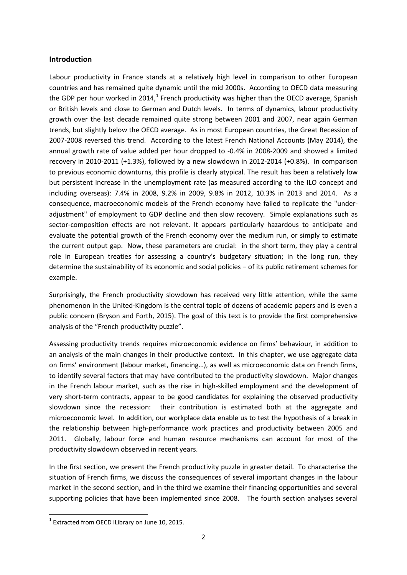#### **Introduction**

Labour productivity in France stands at a relatively high level in comparison to other European countries and has remained quite dynamic until the mid 2000s. According to OECD data measuring the GDP per hour worked in 2014,<sup>1</sup> French productivity was higher than the OECD average, Spanish or British levels and close to German and Dutch levels. In terms of dynamics, labour productivity growth over the last decade remained quite strong between 2001 and 2007, near again German trends, but slightly below the OECD average. As in most European countries, the Great Recession of 2007-2008 reversed this trend. According to the latest French National Accounts (May 2014), the annual growth rate of value added per hour dropped to -0.4% in 2008-2009 and showed a limited recovery in 2010-2011 (+1.3%), followed by a new slowdown in 2012-2014 (+0.8%). In comparison to previous economic downturns, this profile is clearly atypical. The result has been a relatively low but persistent increase in the unemployment rate (as measured according to the ILO concept and including overseas): 7.4% in 2008, 9.2% in 2009, 9.8% in 2012, 10.3% in 2013 and 2014. As a consequence, macroeconomic models of the French economy have failed to replicate the "underadjustment" of employment to GDP decline and then slow recovery. Simple explanations such as sector-composition effects are not relevant. It appears particularly hazardous to anticipate and evaluate the potential growth of the French economy over the medium run, or simply to estimate the current output gap. Now, these parameters are crucial: in the short term, they play a central role in European treaties for assessing a country's budgetary situation; in the long run, they determine the sustainability of its economic and social policies - of its public retirement schemes for example.

Surprisingly, the French productivity slowdown has received very little attention, while the same phenomenon in the United-Kingdom is the central topic of dozens of academic papers and is even a public concern (Bryson and Forth, 2015). The goal of this text is to provide the first comprehensive analysis of the "French productivity puzzle".

Assessing productivity trends requires microeconomic evidence on firms' behaviour, in addition to an analysis of the main changes in their productive context. In this chapter, we use aggregate data on firms' environment (labour market, financing…), as well as microeconomic data on French firms, to identify several factors that may have contributed to the productivity slowdown. Major changes in the French labour market, such as the rise in high-skilled employment and the development of very short-term contracts, appear to be good candidates for explaining the observed productivity slowdown since the recession: their contribution is estimated both at the aggregate and microeconomic level. In addition, our workplace data enable us to test the hypothesis of a break in the relationship between high-performance work practices and productivity between 2005 and 2011. Globally, labour force and human resource mechanisms can account for most of the productivity slowdown observed in recent years.

In the first section, we present the French productivity puzzle in greater detail. To characterise the situation of French firms, we discuss the consequences of several important changes in the labour market in the second section, and in the third we examine their financing opportunities and several supporting policies that have been implemented since 2008. The fourth section analyses several

<span id="page-3-0"></span> $1$  Extracted from OECD iLibrary on June 10, 2015.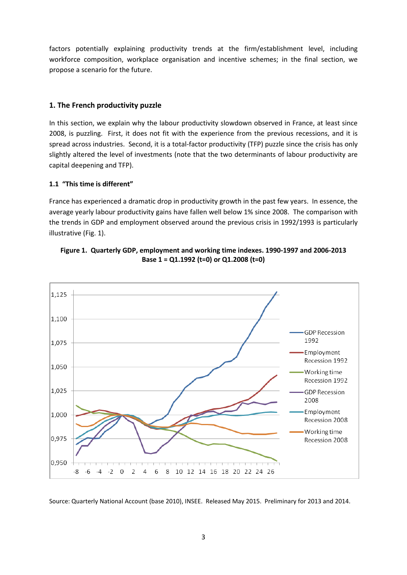factors potentially explaining productivity trends at the firm/establishment level, including workforce composition, workplace organisation and incentive schemes; in the final section, we propose a scenario for the future.

#### **1. The French productivity puzzle**

In this section, we explain why the labour productivity slowdown observed in France, at least since 2008, is puzzling. First, it does not fit with the experience from the previous recessions, and it is spread across industries. Second, it is a total-factor productivity (TFP) puzzle since the crisis has only slightly altered the level of investments (note that the two determinants of labour productivity are capital deepening and TFP).

#### **1.1 "This time is different"**

France has experienced a dramatic drop in productivity growth in the past few years. In essence, the average yearly labour productivity gains have fallen well below 1% since 2008. The comparison with the trends in GDP and employment observed around the previous crisis in 1992/1993 is particularly illustrative (Fig. 1).





Source: Quarterly National Account (base 2010), INSEE. Released May 2015. Preliminary for 2013 and 2014.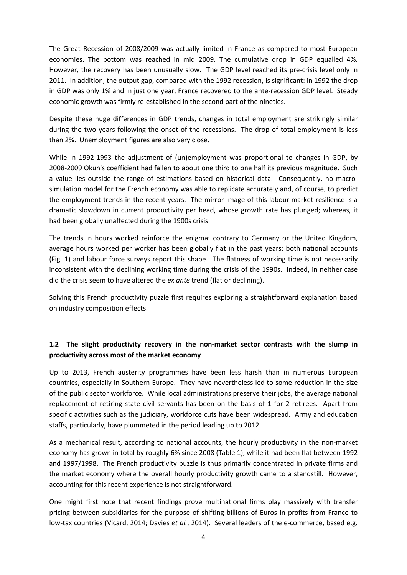The Great Recession of 2008/2009 was actually limited in France as compared to most European economies. The bottom was reached in mid 2009. The cumulative drop in GDP equalled 4%. However, the recovery has been unusually slow. The GDP level reached its pre-crisis level only in 2011. In addition, the output gap, compared with the 1992 recession, is significant: in 1992 the drop in GDP was only 1% and in just one year, France recovered to the ante-recession GDP level. Steady economic growth was firmly re-established in the second part of the nineties.

Despite these huge differences in GDP trends, changes in total employment are strikingly similar during the two years following the onset of the recessions. The drop of total employment is less than 2%. Unemployment figures are also very close.

While in 1992-1993 the adjustment of (un)employment was proportional to changes in GDP, by 2008-2009 Okun's coefficient had fallen to about one third to one half its previous magnitude. Such a value lies outside the range of estimations based on historical data. Consequently, no macrosimulation model for the French economy was able to replicate accurately and, of course, to predict the employment trends in the recent years. The mirror image of this labour-market resilience is a dramatic slowdown in current productivity per head, whose growth rate has plunged; whereas, it had been globally unaffected during the 1900s crisis.

The trends in hours worked reinforce the enigma: contrary to Germany or the United Kingdom, average hours worked per worker has been globally flat in the past years; both national accounts (Fig. 1) and labour force surveys report this shape. The flatness of working time is not necessarily inconsistent with the declining working time during the crisis of the 1990s. Indeed, in neither case did the crisis seem to have altered the *ex ante* trend (flat or declining).

Solving this French productivity puzzle first requires exploring a straightforward explanation based on industry composition effects.

### **1.2 The slight productivity recovery in the non-market sector contrasts with the slump in productivity across most of the market economy**

Up to 2013, French austerity programmes have been less harsh than in numerous European countries, especially in Southern Europe. They have nevertheless led to some reduction in the size of the public sector workforce. While local administrations preserve their jobs, the average national replacement of retiring state civil servants has been on the basis of 1 for 2 retirees. Apart from specific activities such as the judiciary, workforce cuts have been widespread. Army and education staffs, particularly, have plummeted in the period leading up to 2012.

As a mechanical result, according to national accounts, the hourly productivity in the non-market economy has grown in total by roughly 6% since 2008 (Table 1), while it had been flat between 1992 and 1997/1998. The French productivity puzzle is thus primarily concentrated in private firms and the market economy where the overall hourly productivity growth came to a standstill. However, accounting for this recent experience is not straightforward.

One might first note that recent findings prove multinational firms play massively with transfer pricing between subsidiaries for the purpose of shifting billions of Euros in profits from France to low-tax countries (Vicard, 2014; Davies *et al.*, 2014). Several leaders of the e-commerce, based e.g.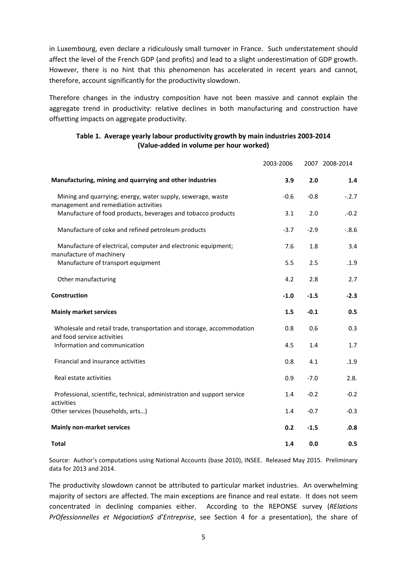in Luxembourg, even declare a ridiculously small turnover in France. Such understatement should affect the level of the French GDP (and profits) and lead to a slight underestimation of GDP growth. However, there is no hint that this phenomenon has accelerated in recent years and cannot, therefore, account significantly for the productivity slowdown.

Therefore changes in the industry composition have not been massive and cannot explain the aggregate trend in productivity: relative declines in both manufacturing and construction have offsetting impacts on aggregate productivity.

| Table 1. Average yearly labour productivity growth by main industries 2003-2014 |
|---------------------------------------------------------------------------------|
| (Value-added in volume per hour worked)                                         |

|                                                                                                      | 2003-2006 |        | 2007 2008-2014 |
|------------------------------------------------------------------------------------------------------|-----------|--------|----------------|
| Manufacturing, mining and quarrying and other industries                                             | 3.9       | 2.0    | 1.4            |
| Mining and quarrying; energy, water supply, sewerage, waste<br>management and remediation activities | $-0.6$    | $-0.8$ | $-.2.7$        |
| Manufacture of food products, beverages and tobacco products                                         | 3.1       | 2.0    | $-0.2$         |
| Manufacture of coke and refined petroleum products                                                   | $-3.7$    | $-2.9$ | $-.8.6$        |
| Manufacture of electrical, computer and electronic equipment;<br>manufacture of machinery            | 7.6       | 1.8    | 3.4            |
| Manufacture of transport equipment                                                                   | 5.5       | 2.5    | .1.9           |
| Other manufacturing                                                                                  | 4.2       | 2.8    | 2.7            |
| Construction                                                                                         | $-1.0$    | $-1.5$ | $-2.3$         |
| <b>Mainly market services</b>                                                                        | 1.5       | $-0.1$ | 0.5            |
| Wholesale and retail trade, transportation and storage, accommodation<br>and food service activities | 0.8       | 0.6    | 0.3            |
| Information and communication                                                                        | 4.5       | 1.4    | 1.7            |
| Financial and insurance activities                                                                   | 0.8       | 4.1    | .1.9           |
| Real estate activities                                                                               | 0.9       | $-7.0$ | 2.8.           |
| Professional, scientific, technical, administration and support service<br>activities                | 1.4       | $-0.2$ | $-0.2$         |
| Other services (households, arts)                                                                    | 1.4       | $-0.7$ | $-0.3$         |
| <b>Mainly non-market services</b>                                                                    | 0.2       | $-1.5$ | .0.8           |
| <b>Total</b>                                                                                         | 1.4       | 0.0    | 0.5            |

Source: Author's computations using National Accounts (base 2010), INSEE. Released May 2015. Preliminary data for 2013 and 2014.

The productivity slowdown cannot be attributed to particular market industries. An overwhelming majority of sectors are affected. The main exceptions are finance and real estate. It does not seem concentrated in declining companies either. According to the REPONSE survey (*RElations PrOfessionnelles et NégociationS d'Entreprise*, see Section 4 for a presentation), the share of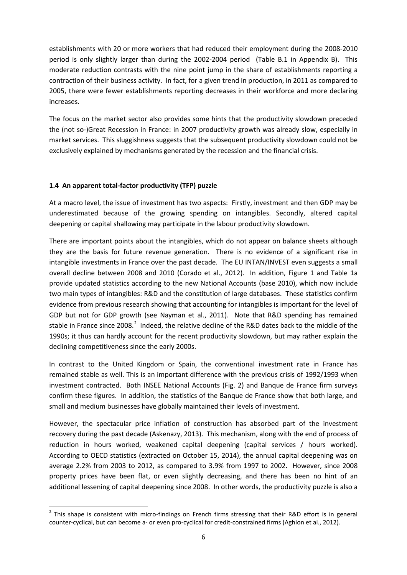establishments with 20 or more workers that had reduced their employment during the 2008-2010 period is only slightly larger than during the 2002-2004 period (Table B.1 in Appendix B). This moderate reduction contrasts with the nine point jump in the share of establishments reporting a contraction of their business activity. In fact, for a given trend in production, in 2011 as compared to 2005, there were fewer establishments reporting decreases in their workforce and more declaring increases.

The focus on the market sector also provides some hints that the productivity slowdown preceded the (not so-)Great Recession in France: in 2007 productivity growth was already slow, especially in market services. This sluggishness suggests that the subsequent productivity slowdown could not be exclusively explained by mechanisms generated by the recession and the financial crisis.

#### **1.4 An apparent total-factor productivity (TFP) puzzle**

At a macro level, the issue of investment has two aspects: Firstly, investment and then GDP may be underestimated because of the growing spending on intangibles. Secondly, altered capital deepening or capital shallowing may participate in the labour productivity slowdown.

There are important points about the intangibles, which do not appear on balance sheets although they are the basis for future revenue generation. There is no evidence of a significant rise in intangible investments in France over the past decade. The EU INTAN/INVEST even suggests a small overall decline between 2008 and 2010 (Corado et al., 2012). In addition, Figure 1 and Table 1a provide updated statistics according to the new National Accounts (base 2010), which now include two main types of intangibles: R&D and the constitution of large databases. These statistics confirm evidence from previous research showing that accounting for intangibles is important for the level of GDP but not for GDP growth (see Nayman et al., 2011). Note that R&D spending has remained stable in France since [2](#page-3-0)008.<sup>2</sup> Indeed, the relative decline of the R&D dates back to the middle of the 1990s; it thus can hardly account for the recent productivity slowdown, but may rather explain the declining competitiveness since the early 2000s.

In contrast to the United Kingdom or Spain, the conventional investment rate in France has remained stable as well. This is an important difference with the previous crisis of 1992/1993 when investment contracted. Both INSEE National Accounts (Fig. 2) and Banque de France firm surveys confirm these figures. In addition, the statistics of the Banque de France show that both large, and small and medium businesses have globally maintained their levels of investment.

However, the spectacular price inflation of construction has absorbed part of the investment recovery during the past decade (Askenazy, 2013). This mechanism, along with the end of process of reduction in hours worked, weakened capital deepening (capital services / hours worked). According to OECD statistics (extracted on October 15, 2014), the annual capital deepening was on average 2.2% from 2003 to 2012, as compared to 3.9% from 1997 to 2002. However, since 2008 property prices have been flat, or even slightly decreasing, and there has been no hint of an additional lessening of capital deepening since 2008. In other words, the productivity puzzle is also a

<span id="page-7-0"></span> $2$  This shape is consistent with micro-findings on French firms stressing that their R&D effort is in general counter-cyclical, but can become a- or even pro-cyclical for credit-constrained firms (Aghion et al., 2012).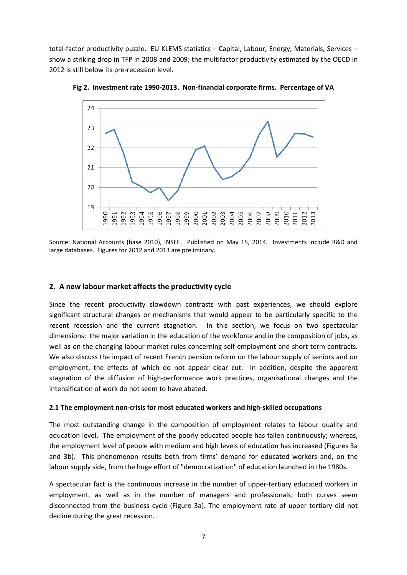total-factor productivity puzzle. EU KLEMS statistics - Capital, Labour, Energy, Materials, Services show a striking drop in TFP in 2008 and 2009; the multifactor productivity estimated by the OECD in 2012 is still below its pre-recession level.



**Fig 2. Investment rate 1990-2013. Non-financial corporate firms. Percentage of VA**

Source: National Accounts (base 2010), INSEE. Published on May 15, 2014. Investments include R&D and large databases. Figures for 2012 and 2013 are preliminary.

#### **2. A new labour market affects the productivity cycle**

Since the recent productivity slowdown contrasts with past experiences, we should explore significant structural changes or mechanisms that would appear to be particularly specific to the recent recession and the current stagnation. In this section, we focus on two spectacular dimensions: the major variation in the education of the workforce and in the composition of jobs, as well as on the changing labour market rules concerning self-employment and short-term contracts. We also discuss the impact of recent French pension reform on the labour supply of seniors and on employment, the effects of which do not appear clear cut. In addition, despite the apparent stagnation of the diffusion of high-performance work practices, organisational changes and the intensification of work do not seem to have abated.

#### **2.1 The employment non-crisis for most educated workers and high-skilled occupations**

The most outstanding change in the composition of employment relates to labour quality and education level. The employment of the poorly educated people has fallen continuously; whereas, the employment level of people with medium and high levels of education has increased (Figures 3a and 3b). This phenomenon results both from firms' demand for educated workers and, on the labour supply side, from the huge effort of "democratization" of education launched in the 1980s.

A spectacular fact is the continuous increase in the number of upper-tertiary educated workers in employment, as well as in the number of managers and professionals; both curves seem disconnected from the business cycle (Figure 3a). The employment rate of upper tertiary did not decline during the great recession.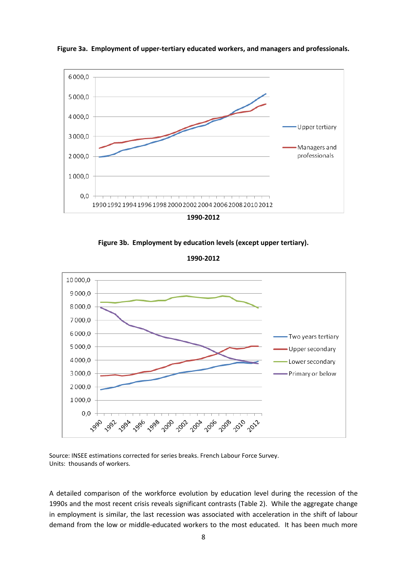

**Figure 3a. Employment of upper-tertiary educated workers, and managers and professionals.**

**1990-2012**

**Figure 3b. Employment by education levels (except upper tertiary).**

**1990-2012**



Source: INSEE estimations corrected for series breaks. French Labour Force Survey. Units: thousands of workers.

A detailed comparison of the workforce evolution by education level during the recession of the 1990s and the most recent crisis reveals significant contrasts (Table 2). While the aggregate change in employment is similar, the last recession was associated with acceleration in the shift of labour demand from the low or middle-educated workers to the most educated. It has been much more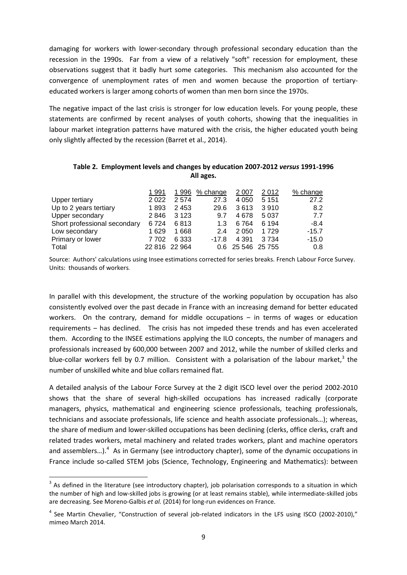damaging for workers with lower-secondary through professional secondary education than the recession in the 1990s. Far from a view of a relatively "soft" recession for employment, these observations suggest that it badly hurt some categories. This mechanism also accounted for the convergence of unemployment rates of men and women because the proportion of tertiaryeducated workers is larger among cohorts of women than men born since the 1970s.

The negative impact of the last crisis is stronger for low education levels. For young people, these statements are confirmed by recent analyses of youth cohorts, showing that the inequalities in labour market integration patterns have matured with the crisis, the higher educated youth being only slightly affected by the recession (Barret et al., 2014).

#### **Table 2. Employment levels and changes by education 2007-2012** *versus* **1991-1996 All ages.**

|                              | 1 991   |               | <u>1996 % change</u> | 2 0 0 7           | 2 0 1 2 | <u>% change</u> |
|------------------------------|---------|---------------|----------------------|-------------------|---------|-----------------|
| Upper tertiary               | 2 0 2 2 | 2574          | 27.3                 | 4 0 5 0           | 5 1 5 1 | 27.2            |
| Up to 2 years tertiary       | 1893    | 2453          | 29.6                 | 3613              | 3 9 1 0 | 8.2             |
| Upper secondary              | 2846    | 3 1 2 3       | 9.7                  | 4678              | 5 0 3 7 | 77              |
| Short professional secondary | 6724    | 6813          | 1.3                  | 6 7 64            | 6 1 9 4 | $-8.4$          |
| Low secondary                | 1629    | 1668          | 2.4                  | 2050              | 1 7 2 9 | $-15.7$         |
| Primary or lower             | 7 702   | 6 3 3 3       | $-17.8$              | 4 3 9 1           | 3 7 3 4 | $-15.0$         |
| Total                        |         | 22 816 22 964 |                      | 0.6 25 546 25 755 |         | 0.8             |

Source: Authors' calculations using Insee estimations corrected for series breaks. French Labour Force Survey. Units: thousands of workers.

In parallel with this development, the structure of the working population by occupation has also consistently evolved over the past decade in France with an increasing demand for better educated workers. On the contrary, demand for middle occupations  $-$  in terms of wages or education requirements – has declined. The crisis has not impeded these trends and has even accelerated them. According to the INSEE estimations applying the ILO concepts, the number of managers and professionals increased by 600,000 between 2007 and 2012, while the number of skilled clerks and blue-collar workers fell by 0.7 million. Consistent with a polarisation of the labour market,<sup>[3](#page-7-0)</sup> the number of unskilled white and blue collars remained flat.

A detailed analysis of the Labour Force Survey at the 2 digit ISCO level over the period 2002-2010 shows that the share of several high-skilled occupations has increased radically (corporate managers, physics, mathematical and engineering science professionals, teaching professionals, technicians and associate professionals, life science and health associate professionals…); whereas, the share of medium and lower-skilled occupations has been declining (clerks, office clerks, craft and related trades workers, metal machinery and related trades workers, plant and machine operators and assemblers...).<sup>[4](#page-10-0)</sup> As in Germany (see introductory chapter), some of the dynamic occupations in France include so-called STEM jobs (Science, Technology, Engineering and Mathematics): between

<span id="page-10-1"></span><sup>&</sup>lt;sup>3</sup> As defined in the literature (see introductory chapter), job polarisation corresponds to a situation in which the number of high and low-skilled jobs is growing (or at least remains stable), while intermediate-skilled jobs are decreasing. See Moreno-Galbis *et al.* (2014) for long-run evidences on France.

<span id="page-10-0"></span><sup>&</sup>lt;sup>4</sup> See Martin Chevalier, "Construction of several job-related indicators in the LFS using ISCO (2002-2010)," mimeo March 2014.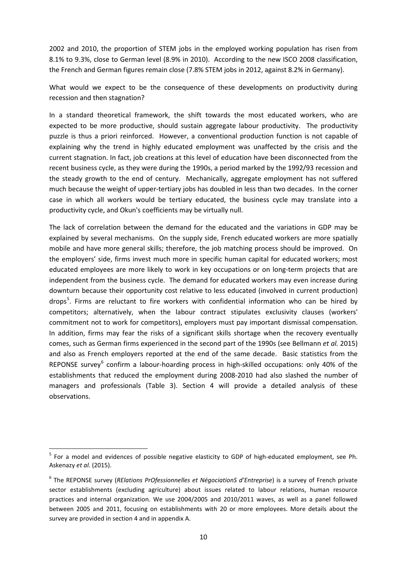2002 and 2010, the proportion of STEM jobs in the employed working population has risen from 8.1% to 9.3%, close to German level (8.9% in 2010). According to the new ISCO 2008 classification, the French and German figures remain close (7.8% STEM jobs in 2012, against 8.2% in Germany).

What would we expect to be the consequence of these developments on productivity during recession and then stagnation?

In a standard theoretical framework, the shift towards the most educated workers, who are expected to be more productive, should sustain aggregate labour productivity. The productivity puzzle is thus a priori reinforced. However, a conventional production function is not capable of explaining why the trend in highly educated employment was unaffected by the crisis and the current stagnation. In fact, job creations at this level of education have been disconnected from the recent business cycle, as they were during the 1990s, a period marked by the 1992/93 recession and the steady growth to the end of century. Mechanically, aggregate employment has not suffered much because the weight of upper-tertiary jobs has doubled in less than two decades. In the corner case in which all workers would be tertiary educated, the business cycle may translate into a productivity cycle, and Okun's coefficients may be virtually null.

The lack of correlation between the demand for the educated and the variations in GDP may be explained by several mechanisms. On the supply side, French educated workers are more spatially mobile and have more general skills; therefore, the job matching process should be improved. On the employers' side, firms invest much more in specific human capital for educated workers; most educated employees are more likely to work in key occupations or on long-term projects that are independent from the business cycle. The demand for educated workers may even increase during downturn because their opportunity cost relative to less educated (involved in current production) drops<sup>[5](#page-10-1)</sup>. Firms are reluctant to fire workers with confidential information who can be hired by competitors; alternatively, when the labour contract stipulates exclusivity clauses (workers' commitment not to work for competitors), employers must pay important dismissal compensation. In addition, firms may fear the risks of a significant skills shortage when the recovery eventually comes, such as German firms experienced in the second part of the 1990s (see Bellmann *et al.* 2015) and also as French employers reported at the end of the same decade. Basic statistics from the REPONSE survey<sup>[6](#page-11-0)</sup> confirm a labour-hoarding process in high-skilled occupations: only 40% of the establishments that reduced the employment during 2008-2010 had also slashed the number of managers and professionals (Table 3). Section 4 will provide a detailed analysis of these observations.

<sup>&</sup>lt;sup>5</sup> For a model and evidences of possible negative elasticity to GDP of high-educated employment, see Ph. Askenazy *et al.* (2015).

<span id="page-11-1"></span><span id="page-11-0"></span><sup>6</sup> The REPONSE survey (*RElations PrOfessionnelles et NégociationS d'Entreprise*) is a survey of French private sector establishments (excluding agriculture) about issues related to labour relations, human resource practices and internal organization. We use 2004/2005 and 2010/2011 waves, as well as a panel followed between 2005 and 2011, focusing on establishments with 20 or more employees. More details about the survey are provided in section 4 and in appendix A.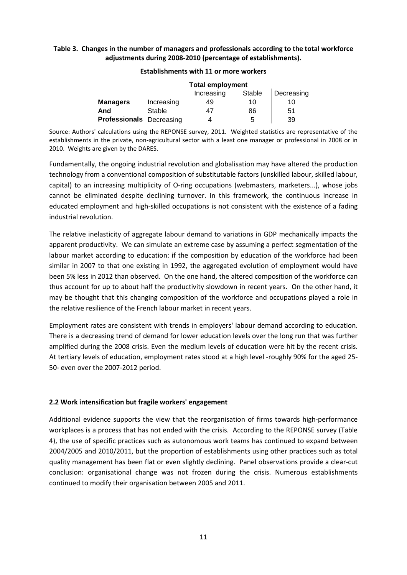#### **Table 3. Changes in the number of managers and professionals according to the total workforce adjustments during 2008-2010 (percentage of establishments).**

|                                    |            | <b>Total employment</b> |    |    |  |  |  |  |  |
|------------------------------------|------------|-------------------------|----|----|--|--|--|--|--|
| Increasing<br>Stable<br>Decreasing |            |                         |    |    |  |  |  |  |  |
| <b>Managers</b>                    | Increasing | 49                      | 10 | 10 |  |  |  |  |  |
| And                                | Stable     | 47                      | 86 | 51 |  |  |  |  |  |
| <b>Professionals</b> Decreasing    |            |                         | 5  | 39 |  |  |  |  |  |

#### **Establishments with 11 or more workers**

Source: Authors' calculations using the REPONSE survey, 2011. Weighted statistics are representative of the establishments in the private, non-agricultural sector with a least one manager or professional in 2008 or in 2010. Weights are given by the DARES.

Fundamentally, the ongoing industrial revolution and globalisation may have altered the production technology from a conventional composition of substitutable factors (unskilled labour, skilled labour, capital) to an increasing multiplicity of O-ring occupations (webmasters, marketers...), whose jobs cannot be eliminated despite declining turnover. In this framework, the continuous increase in educated employment and high-skilled occupations is not consistent with the existence of a fading industrial revolution.

The relative inelasticity of aggregate labour demand to variations in GDP mechanically impacts the apparent productivity. We can simulate an extreme case by assuming a perfect segmentation of the labour market according to education: if the composition by education of the workforce had been similar in 2007 to that one existing in 1992, the aggregated evolution of employment would have been 5% less in 2012 than observed. On the one hand, the altered composition of the workforce can thus account for up to about half the productivity slowdown in recent years. On the other hand, it may be thought that this changing composition of the workforce and occupations played a role in the relative resilience of the French labour market in recent years.

Employment rates are consistent with trends in employers' labour demand according to education. There is a decreasing trend of demand for lower education levels over the long run that was further amplified during the 2008 crisis. Even the medium levels of education were hit by the recent crisis. At tertiary levels of education, employment rates stood at a high level -roughly 90% for the aged 25- 50- even over the 2007-2012 period.

#### **2.2 Work intensification but fragile workers' engagement**

Additional evidence supports the view that the reorganisation of firms towards high-performance workplaces is a process that has not ended with the crisis. According to the REPONSE survey (Table 4), the use of specific practices such as autonomous work teams has continued to expand between 2004/2005 and 2010/2011, but the proportion of establishments using other practices such as total quality management has been flat or even slightly declining. Panel observations provide a clear-cut conclusion: organisational change was not frozen during the crisis. Numerous establishments continued to modify their organisation between 2005 and 2011.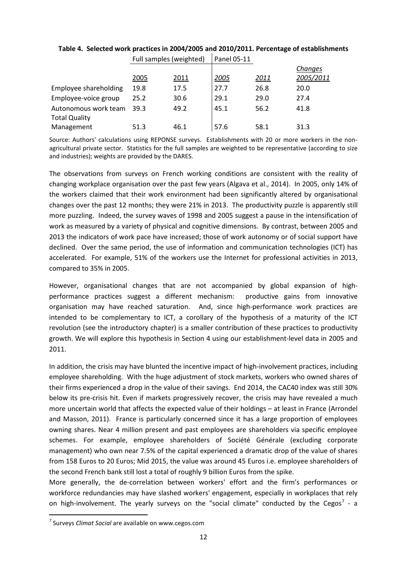|                       | Full Satilples (Weighted) |      | Panel US-11 |      |           |
|-----------------------|---------------------------|------|-------------|------|-----------|
|                       |                           |      |             |      | Changes   |
|                       | 2005                      | 2011 | 2005        | 2011 | 2005/2011 |
| Employee shareholding | 19.8                      | 17.5 | 27.7        | 26.8 | 20.0      |
| Employee-voice group  | 25.2                      | 30.6 | 29.1        | 29.0 | 27.4      |
| Autonomous work team  | 39.3                      | 49.2 | 45.1        | 56.2 | 41.8      |
| <b>Total Quality</b>  |                           |      |             |      |           |
| Management            | 51.3                      | 46.1 | 57.6        | 58.1 | 31.3      |

#### **Table 4. Selected work practices in 2004/2005 and 2010/2011. Percentage of establishments**  $Full$  camples (weighted)  $\int_{0}^{1}$   $Pull$

Source: Authors' calculations using REPONSE surveys. Establishments with 20 or more workers in the nonagricultural private sector. Statistics for the full samples are weighted to be representative (according to size and industries); weights are provided by the DARES.

The observations from surveys on French working conditions are consistent with the reality of changing workplace organisation over the past few years (Algava et al., 2014). In 2005, only 14% of the workers claimed that their work environment had been significantly altered by organisational changes over the past 12 months; they were 21% in 2013. The productivity puzzle is apparently still more puzzling. Indeed, the survey waves of 1998 and 2005 suggest a pause in the intensification of work as measured by a variety of physical and cognitive dimensions. By contrast, between 2005 and 2013 the indicators of work pace have increased; those of work autonomy or of social support have declined. Over the same period, the use of information and communication technologies (ICT) has accelerated. For example, 51% of the workers use the Internet for professional activities in 2013, compared to 35% in 2005.

However, organisational changes that are not accompanied by global expansion of highperformance practices suggest a different mechanism: productive gains from innovative organisation may have reached saturation. And, since high-performance work practices are intended to be complementary to ICT, a corollary of the hypothesis of a maturity of the ICT revolution (see the introductory chapter) is a smaller contribution of these practices to productivity growth. We will explore this hypothesis in Section 4 using our establishment-level data in 2005 and 2011.

In addition, the crisis may have blunted the incentive impact of high-involvement practices, including employee shareholding. With the huge adjustment of stock markets, workers who owned shares of their firms experienced a drop in the value of their savings. End 2014, the CAC40 index was still 30% below its pre-crisis hit. Even if markets progressively recover, the crisis may have revealed a much more uncertain world that affects the expected value of their holdings – at least in France (Arrondel and Masson, 2011). France is particularly concerned since it has a large proportion of employees owning shares. Near 4 million present and past employees are shareholders via specific employee schemes. For example, employee shareholders of Société Générale (excluding corporate management) who own near 7.5% of the capital experienced a dramatic drop of the value of shares from 158 Euros to 20 Euros; Mid 2015, the value was around 45 Euros i.e. employee shareholders of the second French bank still lost a total of roughly 9 billion Euros from the spike.

<span id="page-13-0"></span>More generally, the de-correlation between workers' effort and the firm's performances or workforce redundancies may have slashed workers' engagement, especially in workplaces that rely on high-involvement. The yearly surveys on the "social climate" conducted by the Cegos<sup>[7](#page-11-1)</sup> - a

 <sup>7</sup> Surveys *Climat Social* are available on www.cegos.com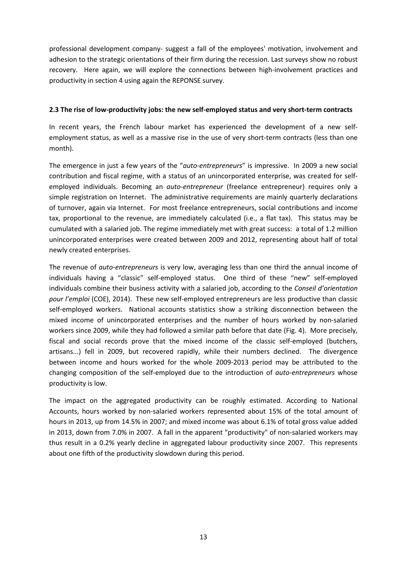professional development company- suggest a fall of the employees' motivation, involvement and adhesion to the strategic orientations of their firm during the recession. Last surveys show no robust recovery. Here again, we will explore the connections between high-involvement practices and productivity in section 4 using again the REPONSE survey.

#### **2.3 The rise of low-productivity jobs: the new self-employed status and very short-term contracts**

In recent years, the French labour market has experienced the development of a new selfemployment status, as well as a massive rise in the use of very short-term contracts (less than one month).

The emergence in just a few years of the "*auto-entrepreneurs*" is impressive. In 2009 a new social contribution and fiscal regime, with a status of an unincorporated enterprise, was created for selfemployed individuals. Becoming an *auto-entrepreneur* (freelance entrepreneur) requires only a simple registration on Internet. The administrative requirements are mainly quarterly declarations of turnover, again via Internet. For most freelance entrepreneurs, social contributions and income tax, proportional to the revenue, are immediately calculated (i.e., a flat tax). This status may be cumulated with a salaried job. The regime immediately met with great success: a total of 1.2 million unincorporated enterprises were created between 2009 and 2012, representing about half of total newly created enterprises.

The revenue of *auto-entrepreneurs* is very low, averaging less than one third the annual income of individuals having a "classic" self-employed status. One third of these "new" self-employed individuals combine their business activity with a salaried job, according to the *Conseil d'orientation pour l'emploi* (COE), 2014). These new self-employed entrepreneurs are less productive than classic self-employed workers. National accounts statistics show a striking disconnection between the mixed income of unincorporated enterprises and the number of hours worked by non-salaried workers since 2009, while they had followed a similar path before that date (Fig. 4). More precisely, fiscal and social records prove that the mixed income of the classic self-employed (butchers, artisans...) fell in 2009, but recovered rapidly, while their numbers declined. The divergence between income and hours worked for the whole 2009-2013 period may be attributed to the changing composition of the self-employed due to the introduction of *auto-entrepreneurs* whose productivity is low.

The impact on the aggregated productivity can be roughly estimated. According to National Accounts, hours worked by non-salaried workers represented about 15% of the total amount of hours in 2013, up from 14.5% in 2007; and mixed income was about 6.1% of total gross value added in 2013, down from 7.0% in 2007. A fall in the apparent "productivity" of non-salaried workers may thus result in a 0.2% yearly decline in aggregated labour productivity since 2007. This represents about one fifth of the productivity slowdown during this period.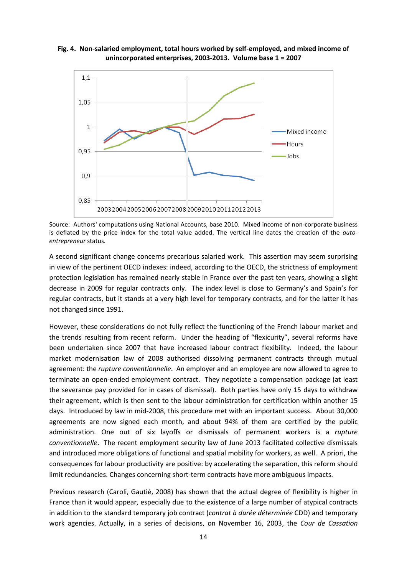



Source: Authors' computations using National Accounts, base 2010. Mixed income of non-corporate business is deflated by the price index for the total value added. The vertical line dates the creation of the *autoentrepreneur* status.

A second significant change concerns precarious salaried work. This assertion may seem surprising in view of the pertinent OECD indexes: indeed, according to the OECD, the strictness of employment protection legislation has remained nearly stable in France over the past ten years, showing a slight decrease in 2009 for regular contracts only. The index level is close to Germany's and Spain's for regular contracts, but it stands at a very high level for temporary contracts, and for the latter it has not changed since 1991.

However, these considerations do not fully reflect the functioning of the French labour market and the trends resulting from recent reform. Under the heading of "flexicurity", several reforms have been undertaken since 2007 that have increased labour contract flexibility. Indeed, the labour market modernisation law of 2008 authorised dissolving permanent contracts through mutual agreement: the *rupture conventionnelle*. An employer and an employee are now allowed to agree to terminate an open-ended employment contract. They negotiate a compensation package (at least the severance pay provided for in cases of dismissal). Both parties have only 15 days to withdraw their agreement, which is then sent to the labour administration for certification within another 15 days. Introduced by law in mid-2008, this procedure met with an important success. About 30,000 agreements are now signed each month, and about 94% of them are certified by the public administration. One out of six layoffs or dismissals of permanent workers is a *rupture conventionnelle*. The recent employment security law of June 2013 facilitated collective dismissals and introduced more obligations of functional and spatial mobility for workers, as well. A priori, the consequences for labour productivity are positive: by accelerating the separation, this reform should limit redundancies. Changes concerning short-term contracts have more ambiguous impacts.

Previous research (Caroli, Gautié, 2008) has shown that the actual degree of flexibility is higher in France than it would appear, especially due to the existence of a large number of atypical contracts in addition to the standard temporary job contract (*contrat à durée déterminée* CDD) and temporary work agencies. Actually, in a series of decisions, on November 16, 2003, the *Cour de Cassation*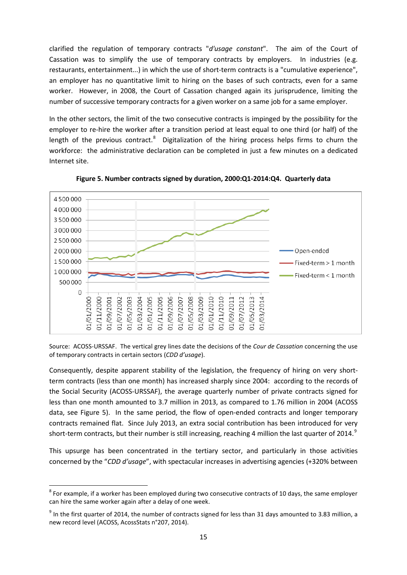clarified the regulation of temporary contracts "*d'usage constant*". The aim of the Court of Cassation was to simplify the use of temporary contracts by employers. In industries (e.g. restaurants, entertainment...) in which the use of short-term contracts is a "cumulative experience", an employer has no quantitative limit to hiring on the bases of such contracts, even for a same worker. However, in 2008, the Court of Cassation changed again its jurisprudence, limiting the number of successive temporary contracts for a given worker on a same job for a same employer.

In the other sectors, the limit of the two consecutive contracts is impinged by the possibility for the employer to re-hire the worker after a transition period at least equal to one third (or half) of the length of the previous contract.<sup>[8](#page-13-0)</sup> Digitalization of the hiring process helps firms to churn the workforce: the administrative declaration can be completed in just a few minutes on a dedicated Internet site.



**Figure 5. Number contracts signed by duration, 2000:Q1-2014:Q4. Quarterly data**

Source: ACOSS-URSSAF. The vertical grey lines date the decisions of the *Cour de Cassation* concerning the use of temporary contracts in certain sectors (*CDD d'usage*).

Consequently, despite apparent stability of the legislation, the frequency of hiring on very shortterm contracts (less than one month) has increased sharply since 2004: according to the records of the Social Security (ACOSS-URSSAF), the average quarterly number of private contracts signed for less than one month amounted to 3.7 million in 2013, as compared to 1.76 million in 2004 (ACOSS data, see Figure 5). In the same period, the flow of open-ended contracts and longer temporary contracts remained flat. Since July 2013, an extra social contribution has been introduced for very short-term contracts, but their number is still increasing, reaching 4 million the last quarter of 2014.<sup>[9](#page-16-0)</sup>

This upsurge has been concentrated in the tertiary sector, and particularly in those activities concerned by the "*CDD d'usage*", with spectacular increases in advertising agencies (+320% between

 $8$  For example, if a worker has been employed during two consecutive contracts of 10 days, the same employer can hire the same worker again after a delay of one week.

<span id="page-16-1"></span><span id="page-16-0"></span> $9$  In the first quarter of 2014, the number of contracts signed for less than 31 days amounted to 3.83 million, a new record level (ACOSS, AcossStats n°207, 2014).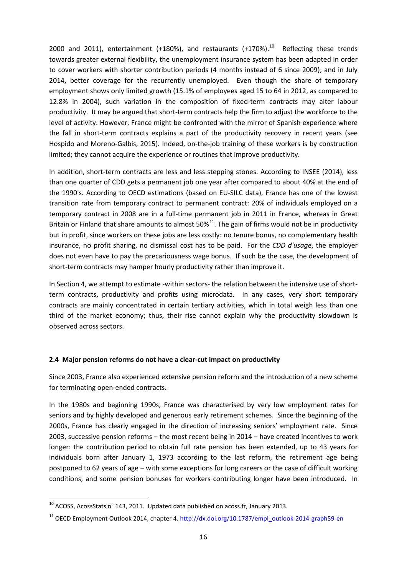2000 and 2011), entertainment  $(+180%)$ , and restaurants  $(+170%)$ .<sup>[10](#page-16-1)</sup> Reflecting these trends towards greater external flexibility, the unemployment insurance system has been adapted in order to cover workers with shorter contribution periods (4 months instead of 6 since 2009); and in July 2014, better coverage for the recurrently unemployed. Even though the share of temporary employment shows only limited growth (15.1% of employees aged 15 to 64 in 2012, as compared to 12.8% in 2004), such variation in the composition of fixed-term contracts may alter labour productivity. It may be argued that short-term contracts help the firm to adjust the workforce to the level of activity. However, France might be confronted with the mirror of Spanish experience where the fall in short-term contracts explains a part of the productivity recovery in recent years (see Hospido and Moreno-Galbis, 2015). Indeed, on-the-job training of these workers is by construction limited; they cannot acquire the experience or routines that improve productivity.

In addition, short-term contracts are less and less stepping stones. According to INSEE (2014), less than one quarter of CDD gets a permanent job one year after compared to about 40% at the end of the 1990's. According to OECD estimations (based on EU-SILC data), France has one of the lowest transition rate from temporary contract to permanent contract: 20% of individuals employed on a temporary contract in 2008 are in a full-time permanent job in 2011 in France, whereas in Great Britain or Finland that share amounts to almost  $50\%$ <sup>[11](#page-17-0)</sup>. The gain of firms would not be in productivity but in profit, since workers on these jobs are less costly: no tenure bonus, no complementary health insurance, no profit sharing, no dismissal cost has to be paid. For the *CDD d'usage*, the employer does not even have to pay the precariousness wage bonus. If such be the case, the development of short-term contracts may hamper hourly productivity rather than improve it.

In Section 4, we attempt to estimate -within sectors- the relation between the intensive use of shortterm contracts, productivity and profits using microdata. In any cases, very short temporary contracts are mainly concentrated in certain tertiary activities, which in total weigh less than one third of the market economy; thus, their rise cannot explain why the productivity slowdown is observed across sectors.

#### **2.4 Major pension reforms do not have a clear-cut impact on productivity**

Since 2003, France also experienced extensive pension reform and the introduction of a new scheme for terminating open-ended contracts.

In the 1980s and beginning 1990s, France was characterised by very low employment rates for seniors and by highly developed and generous early retirement schemes. Since the beginning of the 2000s, France has clearly engaged in the direction of increasing seniors' employment rate. Since 2003, successive pension reforms - the most recent being in 2014 - have created incentives to work longer: the contribution period to obtain full rate pension has been extended, up to 43 years for individuals born after January 1, 1973 according to the last reform, the retirement age being postponed to 62 years of age – with some exceptions for long careers or the case of difficult working conditions, and some pension bonuses for workers contributing longer have been introduced. In

<span id="page-17-1"></span><sup>&</sup>lt;sup>10</sup> ACOSS, AcossStats n° 143, 2011. Updated data published on acoss.fr, January 2013.

<span id="page-17-0"></span><sup>&</sup>lt;sup>11</sup> OECD Employment Outlook 2014, chapter 4. [http://dx.doi.org/10.1787/empl\\_outlook-2014-graph59-en](http://dx.doi.org/10.1787/empl_outlook-2014-graph59-en)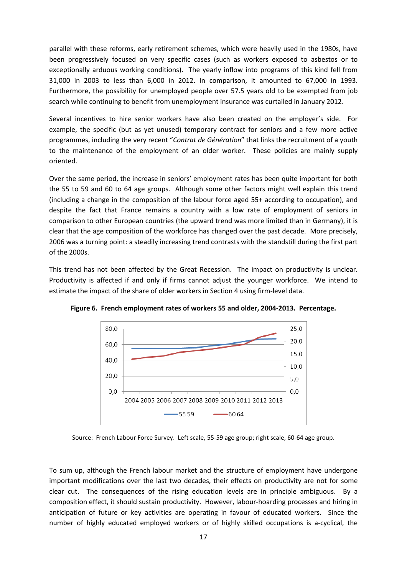parallel with these reforms, early retirement schemes, which were heavily used in the 1980s, have been progressively focused on very specific cases (such as workers exposed to asbestos or to exceptionally arduous working conditions). The yearly inflow into programs of this kind fell from 31,000 in 2003 to less than 6,000 in 2012. In comparison, it amounted to 67,000 in 1993. Furthermore, the possibility for unemployed people over 57.5 years old to be exempted from job search while continuing to benefit from unemployment insurance was curtailed in January 2012.

Several incentives to hire senior workers have also been created on the employer's side. For example, the specific (but as yet unused) temporary contract for seniors and a few more active programmes, including the very recent "*Contrat de Génération*" that links the recruitment of a youth to the maintenance of the employment of an older worker. These policies are mainly supply oriented.

Over the same period, the increase in seniors' employment rates has been quite important for both the 55 to 59 and 60 to 64 age groups. Although some other factors might well explain this trend (including a change in the composition of the labour force aged 55+ according to occupation), and despite the fact that France remains a country with a low rate of employment of seniors in comparison to other European countries (the upward trend was more limited than in Germany), it is clear that the age composition of the workforce has changed over the past decade. More precisely, 2006 was a turning point: a steadily increasing trend contrasts with the standstill during the first part of the 2000s.

This trend has not been affected by the Great Recession. The impact on productivity is unclear. Productivity is affected if and only if firms cannot adjust the younger workforce. We intend to estimate the impact of the share of older workers in Section 4 using firm-level data.



**Figure 6. French employment rates of workers 55 and older, 2004-2013. Percentage.**

Source: French Labour Force Survey. Left scale, 55-59 age group; right scale, 60-64 age group.

To sum up, although the French labour market and the structure of employment have undergone important modifications over the last two decades, their effects on productivity are not for some clear cut. The consequences of the rising education levels are in principle ambiguous. By a composition effect, it should sustain productivity. However, labour-hoarding processes and hiring in anticipation of future or key activities are operating in favour of educated workers. Since the number of highly educated employed workers or of highly skilled occupations is a-cyclical, the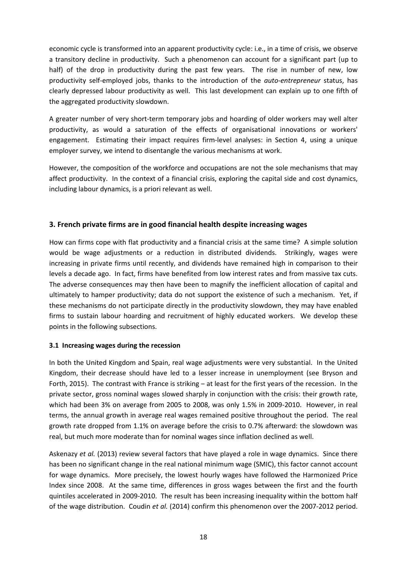economic cycle is transformed into an apparent productivity cycle: i.e., in a time of crisis, we observe a transitory decline in productivity. Such a phenomenon can account for a significant part (up to half) of the drop in productivity during the past few years. The rise in number of new, low productivity self-employed jobs, thanks to the introduction of the *auto-entrepreneur* status, has clearly depressed labour productivity as well. This last development can explain up to one fifth of the aggregated productivity slowdown.

A greater number of very short-term temporary jobs and hoarding of older workers may well alter productivity, as would a saturation of the effects of organisational innovations or workers' engagement. Estimating their impact requires firm-level analyses: in Section 4, using a unique employer survey, we intend to disentangle the various mechanisms at work.

However, the composition of the workforce and occupations are not the sole mechanisms that may affect productivity. In the context of a financial crisis, exploring the capital side and cost dynamics, including labour dynamics, is a priori relevant as well.

#### **3. French private firms are in good financial health despite increasing wages**

How can firms cope with flat productivity and a financial crisis at the same time? A simple solution would be wage adjustments or a reduction in distributed dividends. Strikingly, wages were increasing in private firms until recently, and dividends have remained high in comparison to their levels a decade ago. In fact, firms have benefited from low interest rates and from massive tax cuts. The adverse consequences may then have been to magnify the inefficient allocation of capital and ultimately to hamper productivity; data do not support the existence of such a mechanism. Yet, if these mechanisms do not participate directly in the productivity slowdown, they may have enabled firms to sustain labour hoarding and recruitment of highly educated workers. We develop these points in the following subsections.

#### **3.1 Increasing wages during the recession**

In both the United Kingdom and Spain, real wage adjustments were very substantial. In the United Kingdom, their decrease should have led to a lesser increase in unemployment (see Bryson and Forth, 2015). The contrast with France is striking - at least for the first years of the recession. In the private sector, gross nominal wages slowed sharply in conjunction with the crisis: their growth rate, which had been 3% on average from 2005 to 2008, was only 1.5% in 2009-2010. However, in real terms, the annual growth in average real wages remained positive throughout the period. The real growth rate dropped from 1.1% on average before the crisis to 0.7% afterward: the slowdown was real, but much more moderate than for nominal wages since inflation declined as well.

Askenazy *et al.* (2013) review several factors that have played a role in wage dynamics. Since there has been no significant change in the real national minimum wage (SMIC), this factor cannot account for wage dynamics. More precisely, the lowest hourly wages have followed the Harmonized Price Index since 2008. At the same time, differences in gross wages between the first and the fourth quintiles accelerated in 2009-2010. The result has been increasing inequality within the bottom half of the wage distribution. Coudin *et al.* (2014) confirm this phenomenon over the 2007-2012 period.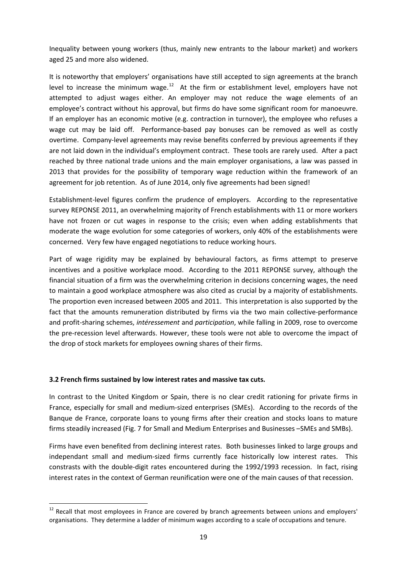Inequality between young workers (thus, mainly new entrants to the labour market) and workers aged 25 and more also widened.

It is noteworthy that employers' organisations have still accepted to sign agreements at the branch level to increase the minimum wage. $12$  At the firm or establishment level, employers have not attempted to adjust wages either. An employer may not reduce the wage elements of an employee's contract without his approval, but firms do have some significant room for manoeuvre. If an employer has an economic motive (e.g. contraction in turnover), the employee who refuses a wage cut may be laid off. Performance-based pay bonuses can be removed as well as costly overtime. Company-level agreements may revise benefits conferred by previous agreements if they are not laid down in the individual's employment contract. These tools are rarely used. After a pact reached by three national trade unions and the main employer organisations, a law was passed in 2013 that provides for the possibility of temporary wage reduction within the framework of an agreement for job retention. As of June 2014, only five agreements had been signed!

Establishment-level figures confirm the prudence of employers. According to the representative survey REPONSE 2011, an overwhelming majority of French establishments with 11 or more workers have not frozen or cut wages in response to the crisis; even when adding establishments that moderate the wage evolution for some categories of workers, only 40% of the establishments were concerned. Very few have engaged negotiations to reduce working hours.

Part of wage rigidity may be explained by behavioural factors, as firms attempt to preserve incentives and a positive workplace mood. According to the 2011 REPONSE survey, although the financial situation of a firm was the overwhelming criterion in decisions concerning wages, the need to maintain a good workplace atmosphere was also cited as crucial by a majority of establishments. The proportion even increased between 2005 and 2011. This interpretation is also supported by the fact that the amounts remuneration distributed by firms via the two main collective-performance and profit-sharing schemes, *intéressement* and *participation*, while falling in 2009, rose to overcome the pre-recession level afterwards. However, these tools were not able to overcome the impact of the drop of stock markets for employees owning shares of their firms.

#### **3.2 French firms sustained by low interest rates and massive tax cuts.**

In contrast to the United Kingdom or Spain, there is no clear credit rationing for private firms in France, especially for small and medium-sized enterprises (SMEs). According to the records of the Banque de France, corporate loans to young firms after their creation and stocks loans to mature firms steadily increased (Fig. 7 for Small and Medium Enterprises and Businesses –SMEs and SMBs).

<span id="page-20-0"></span>Firms have even benefited from declining interest rates. Both businesses linked to large groups and independant small and medium-sized firms currently face historically low interest rates. This constrasts with the double-digit rates encountered during the 1992/1993 recession. In fact, rising interest rates in the context of German reunification were one of the main causes of that recession.

<sup>&</sup>lt;sup>12</sup> Recall that most employees in France are covered by branch agreements between unions and employers' organisations. They determine a ladder of minimum wages according to a scale of occupations and tenure.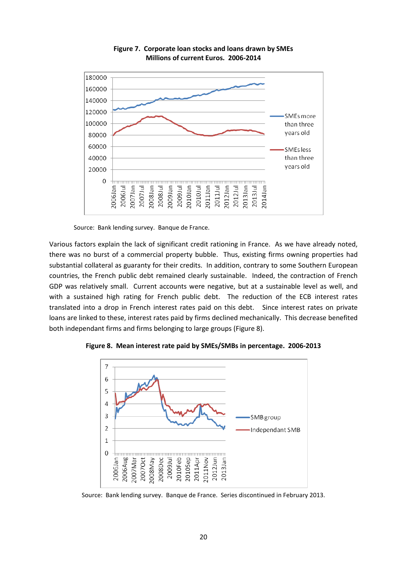

**Figure 7. Corporate loan stocks and loans drawn by SMEs Millions of current Euros. 2006-2014**

Source: Bank lending survey. Banque de France.

Various factors explain the lack of significant credit rationing in France. As we have already noted, there was no burst of a commercial property bubble. Thus, existing firms owning properties had substantial collateral as guaranty for their credits. In addition, contrary to some Southern European countries, the French public debt remained clearly sustainable. Indeed, the contraction of French GDP was relatively small. Current accounts were negative, but at a sustainable level as well, and with a sustained high rating for French public debt. The reduction of the ECB interest rates translated into a drop in French interest rates paid on this debt. Since interest rates on private loans are linked to these, interest rates paid by firms declined mechanically. This decrease benefited both independant firms and firms belonging to large groups (Figure 8).



**Figure 8. Mean interest rate paid by SMEs/SMBs in percentage. 2006-2013**

Source: Bank lending survey. Banque de France. Series discontinued in February 2013.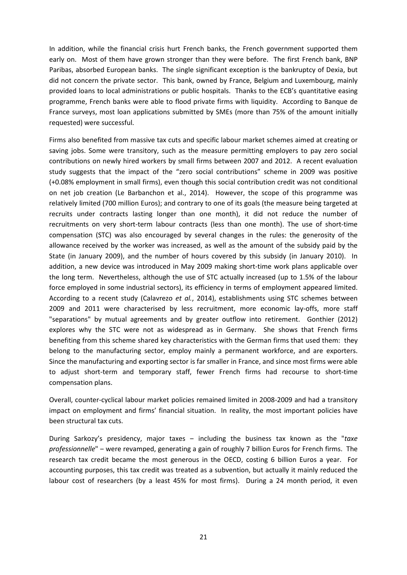In addition, while the financial crisis hurt French banks, the French government supported them early on. Most of them have grown stronger than they were before. The first French bank, BNP Paribas, absorbed European banks. The single significant exception is the bankruptcy of Dexia, but did not concern the private sector. This bank, owned by France, Belgium and Luxembourg, mainly provided loans to local administrations or public hospitals. Thanks to the ECB's quantitative easing programme, French banks were able to flood private firms with liquidity. According to Banque de France surveys, most loan applications submitted by SMEs (more than 75% of the amount initially requested) were successful.

Firms also benefited from massive tax cuts and specific labour market schemes aimed at creating or saving jobs. Some were transitory, such as the measure permitting employers to pay zero social contributions on newly hired workers by small firms between 2007 and 2012. A recent evaluation study suggests that the impact of the "zero social contributions" scheme in 2009 was positive (+0.08% employment in small firms), even though this social contribution credit was not conditional on net job creation (Le Barbanchon et al., 2014). However, the scope of this programme was relatively limited (700 million Euros); and contrary to one of its goals (the measure being targeted at recruits under contracts lasting longer than one month), it did not reduce the number of recruitments on very short-term labour contracts (less than one month). The use of short-time compensation (STC) was also encouraged by several changes in the rules: the generosity of the allowance received by the worker was increased, as well as the amount of the subsidy paid by the State (in January 2009), and the number of hours covered by this subsidy (in January 2010). In addition, a new device was introduced in May 2009 making short-time work plans applicable over the long term. Nevertheless, although the use of STC actually increased (up to 1.5% of the labour force employed in some industrial sectors), its efficiency in terms of employment appeared limited. According to a recent study (Calavrezo *et al.*, 2014), establishments using STC schemes between 2009 and 2011 were characterised by less recruitment, more economic lay-offs, more staff "separations" by mutual agreements and by greater outflow into retirement. Gonthier (2012) explores why the STC were not as widespread as in Germany. She shows that French firms benefiting from this scheme shared key characteristics with the German firms that used them: they belong to the manufacturing sector, employ mainly a permanent workforce, and are exporters. Since the manufacturing and exporting sector is far smaller in France, and since most firms were able to adjust short-term and temporary staff, fewer French firms had recourse to short-time compensation plans.

Overall, counter-cyclical labour market policies remained limited in 2008-2009 and had a transitory impact on employment and firms' financial situation. In reality, the most important policies have been structural tax cuts.

During Sarkozy's presidency, major taxes ‒ including the business tax known as the "*taxe professionnelle*" ‒ were revamped, generating a gain of roughly 7 billion Euros for French firms. The research tax credit became the most generous in the OECD, costing 6 billion Euros a year. For accounting purposes, this tax credit was treated as a subvention, but actually it mainly reduced the labour cost of researchers (by a least 45% for most firms). During a 24 month period, it even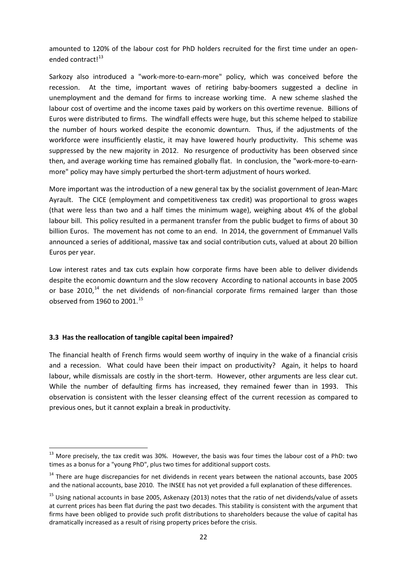amounted to 120% of the labour cost for PhD holders recruited for the first time under an open-ended contract!<sup>[13](#page-20-0)</sup>

Sarkozy also introduced a "work-more-to-earn-more" policy, which was conceived before the recession. At the time, important waves of retiring baby-boomers suggested a decline in unemployment and the demand for firms to increase working time. A new scheme slashed the labour cost of overtime and the income taxes paid by workers on this overtime revenue. Billions of Euros were distributed to firms. The windfall effects were huge, but this scheme helped to stabilize the number of hours worked despite the economic downturn. Thus, if the adjustments of the workforce were insufficiently elastic, it may have lowered hourly productivity. This scheme was suppressed by the new majority in 2012. No resurgence of productivity has been observed since then, and average working time has remained globally flat. In conclusion, the "work-more-to-earnmore" policy may have simply perturbed the short-term adjustment of hours worked.

More important was the introduction of a new general tax by the socialist government of Jean-Marc Ayrault. The CICE (employment and competitiveness tax credit) was proportional to gross wages (that were less than two and a half times the minimum wage), weighing about 4% of the global labour bill. This policy resulted in a permanent transfer from the public budget to firms of about 30 billion Euros. The movement has not come to an end. In 2014, the government of Emmanuel Valls announced a series of additional, massive tax and social contribution cuts, valued at about 20 billion Euros per year.

Low interest rates and tax cuts explain how corporate firms have been able to deliver dividends despite the economic downturn and the slow recovery According to national accounts in base 2005 or base 2010,<sup>[14](#page-23-0)</sup> the net dividends of non-financial corporate firms remained larger than those observed from 1960 to 2001. [15](#page-23-1)

#### **3.3 Has the reallocation of tangible capital been impaired?**

The financial health of French firms would seem worthy of inquiry in the wake of a financial crisis and a recession. What could have been their impact on productivity? Again, it helps to hoard labour, while dismissals are costly in the short-term. However, other arguments are less clear cut. While the number of defaulting firms has increased, they remained fewer than in 1993. This observation is consistent with the lesser cleansing effect of the current recession as compared to previous ones, but it cannot explain a break in productivity.

 $13$  More precisely, the tax credit was 30%. However, the basis was four times the labour cost of a PhD: two times as a bonus for a "young PhD", plus two times for additional support costs.

<span id="page-23-0"></span> $14$  There are huge discrepancies for net dividends in recent years between the national accounts, base 2005 and the national accounts, base 2010. The INSEE has not yet provided a full explanation of these differences.

<span id="page-23-2"></span><span id="page-23-1"></span><sup>&</sup>lt;sup>15</sup> Using national accounts in base 2005, Askenazy (2013) notes that the ratio of net dividends/value of assets at current prices has been flat during the past two decades. This stability is consistent with the argument that firms have been obliged to provide such profit distributions to shareholders because the value of capital has dramatically increased as a result of rising property prices before the crisis.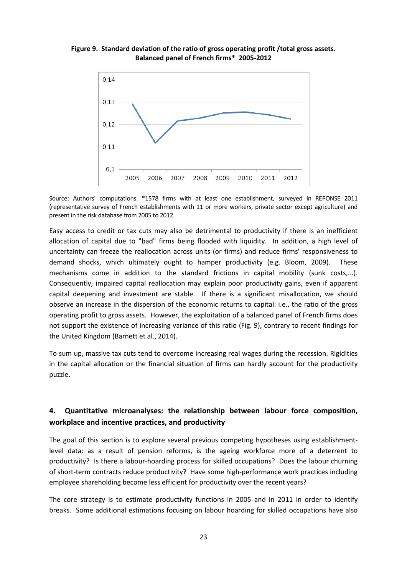#### **Figure 9. Standard deviation of the ratio of gross operating profit /total gross assets. Balanced panel of French firms\* 2005-2012**



Source: Authors' computations. \*1578 firms with at least one establishment, surveyed in REPONSE 2011 (representative survey of French establishments with 11 or more workers, private sector except agriculture) and present in the risk database from 2005 to 2012.

Easy access to credit or tax cuts may also be detrimental to productivity if there is an inefficient allocation of capital due to "bad" firms being flooded with liquidity. In addition, a high level of uncertainty can freeze the reallocation across units (or firms) and reduce firms' responsiveness to demand shocks, which ultimately ought to hamper productivity (e.g. Bloom, 2009). These mechanisms come in addition to the standard frictions in capital mobility (sunk costs,...). Consequently, impaired capital reallocation may explain poor productivity gains, even if apparent capital deepening and investment are stable. If there is a significant misallocation, we should observe an increase in the dispersion of the economic returns to capital: i.e., the ratio of the gross operating profit to gross assets. However, the exploitation of a balanced panel of French firms does not support the existence of increasing variance of this ratio (Fig. 9), contrary to recent findings for the United Kingdom (Barnett et al., 2014).

To sum up, massive tax cuts tend to overcome increasing real wages during the recession. Rigidities in the capital allocation or the financial situation of firms can hardly account for the productivity puzzle.

### **4. Quantitative microanalyses: the relationship between labour force composition, workplace and incentive practices, and productivity**

The goal of this section is to explore several previous competing hypotheses using establishmentlevel data: as a result of pension reforms, is the ageing workforce more of a deterrent to productivity? Is there a labour-hoarding process for skilled occupations? Does the labour churning of short-term contracts reduce productivity? Have some high-performance work practices including employee shareholding become less efficient for productivity over the recent years?

The core strategy is to estimate productivity functions in 2005 and in 2011 in order to identify breaks. Some additional estimations focusing on labour hoarding for skilled occupations have also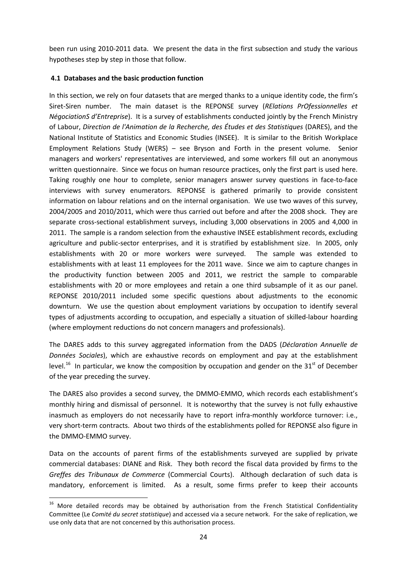been run using 2010-2011 data. We present the data in the first subsection and study the various hypotheses step by step in those that follow.

#### **4.1 Databases and the basic production function**

In this section, we rely on four datasets that are merged thanks to a unique identity code, the firm's Siret-Siren number. The main dataset is the REPONSE survey (*RElations PrOfessionnelles et NégociationS d'Entreprise*). It is a survey of establishments conducted jointly by the French Ministry of Labour, *Direction de l'Animation de la Recherche, des Études et des Statistiques* (DARES), and the National Institute of Statistics and Economic Studies (INSEE). It is similar to the British Workplace Employment Relations Study (WERS) ‒ see Bryson and Forth in the present volume. Senior managers and workers' representatives are interviewed, and some workers fill out an anonymous written questionnaire. Since we focus on human resource practices, only the first part is used here. Taking roughly one hour to complete, senior managers answer survey questions in face-to-face interviews with survey enumerators. REPONSE is gathered primarily to provide consistent information on labour relations and on the internal organisation. We use two waves of this survey, 2004/2005 and 2010/2011, which were thus carried out before and after the 2008 shock. They are separate cross-sectional establishment surveys, including 3,000 observations in 2005 and 4,000 in 2011. The sample is a random selection from the exhaustive INSEE establishment records, excluding agriculture and public-sector enterprises, and it is stratified by establishment size. In 2005, only establishments with 20 or more workers were surveyed. The sample was extended to establishments with at least 11 employees for the 2011 wave. Since we aim to capture changes in the productivity function between 2005 and 2011, we restrict the sample to comparable establishments with 20 or more employees and retain a one third subsample of it as our panel. REPONSE 2010/2011 included some specific questions about adjustments to the economic downturn. We use the question about employment variations by occupation to identify several types of adjustments according to occupation, and especially a situation of skilled-labour hoarding (where employment reductions do not concern managers and professionals).

The DARES adds to this survey aggregated information from the DADS (*Déclaration Annuelle de Données Sociales*), which are exhaustive records on employment and pay at the establishment level.<sup>[16](#page-23-2)</sup> In particular, we know the composition by occupation and gender on the 31<sup>st</sup> of December of the year preceding the survey.

The DARES also provides a second survey, the DMMO-EMMO, which records each establishment's monthly hiring and dismissal of personnel. It is noteworthy that the survey is not fully exhaustive inasmuch as employers do not necessarily have to report infra-monthly workforce turnover: i.e., very short-term contracts. About two thirds of the establishments polled for REPONSE also figure in the DMMO-EMMO survey.

Data on the accounts of parent firms of the establishments surveyed are supplied by private commercial databases: DIANE and Risk. They both record the fiscal data provided by firms to the *Greffes des Tribunaux de Commerce* (Commercial Courts). Although declaration of such data is mandatory, enforcement is limited. As a result, some firms prefer to keep their accounts

<span id="page-25-0"></span> $16$  More detailed records may be obtained by authorisation from the French Statistical Confidentiality Committee (Le *Comité du secret statistique*) and accessed via a secure network. For the sake of replication, we use only data that are not concerned by this authorisation process.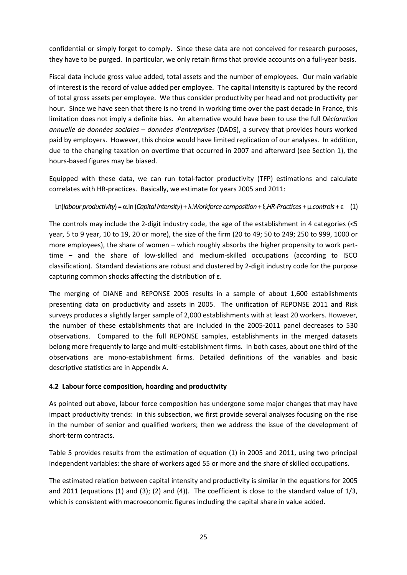confidential or simply forget to comply. Since these data are not conceived for research purposes, they have to be purged. In particular, we only retain firms that provide accounts on a full-year basis.

Fiscal data include gross value added, total assets and the number of employees. Our main variable of interest is the record of value added per employee. The capital intensity is captured by the record of total gross assets per employee. We thus consider productivity per head and not productivity per hour. Since we have seen that there is no trend in working time over the past decade in France, this limitation does not imply a definite bias. An alternative would have been to use the full *Déclaration annuelle de données sociales – données d'entreprises* (DADS), a survey that provides hours worked paid by employers. However, this choice would have limited replication of our analyses. In addition, due to the changing taxation on overtime that occurred in 2007 and afterward (see Section 1), the hours-based figures may be biased.

Equipped with these data, we can run total-factor productivity (TFP) estimations and calculate correlates with HR-practices. Basically, we estimate for years 2005 and 2011:

Ln(*labour productivity*) = α.ln (*Capital intensity*) + λ.*Workforce composition* + ξ.*HR-Practices* + µ.*controls* + ε (1)

The controls may include the 2-digit industry code, the age of the establishment in 4 categories (<5 year, 5 to 9 year, 10 to 19, 20 or more), the size of the firm (20 to 49; 50 to 249; 250 to 999, 1000 or more employees), the share of women – which roughly absorbs the higher propensity to work parttime – and the share of low-skilled and medium-skilled occupations (according to ISCO classification). Standard deviations are robust and clustered by 2-digit industry code for the purpose capturing common shocks affecting the distribution of ε.

The merging of DIANE and REPONSE 2005 results in a sample of about 1,600 establishments presenting data on productivity and assets in 2005. The unification of REPONSE 2011 and Risk surveys produces a slightly larger sample of 2,000 establishments with at least 20 workers. However, the number of these establishments that are included in the 2005-2011 panel decreases to 530 observations. Compared to the full REPONSE samples, establishments in the merged datasets belong more frequently to large and multi-establishment firms. In both cases, about one third of the observations are mono-establishment firms. Detailed definitions of the variables and basic descriptive statistics are in Appendix A.

#### **4.2 Labour force composition, hoarding and productivity**

As pointed out above, labour force composition has undergone some major changes that may have impact productivity trends: in this subsection, we first provide several analyses focusing on the rise in the number of senior and qualified workers; then we address the issue of the development of short-term contracts.

Table 5 provides results from the estimation of equation (1) in 2005 and 2011, using two principal independent variables: the share of workers aged 55 or more and the share of skilled occupations.

The estimated relation between capital intensity and productivity is similar in the equations for 2005 and 2011 (equations (1) and (3); (2) and (4)). The coefficient is close to the standard value of 1/3, which is consistent with macroeconomic figures including the capital share in value added.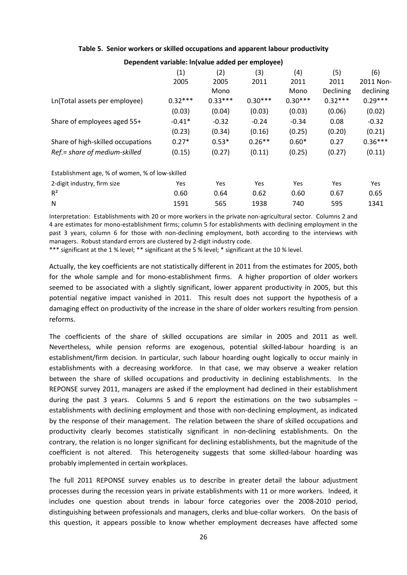#### **Table 5. Senior workers or skilled occupations and apparent labour productivity**

|                                                 | (1)       | (2)       | (3)       | (4)       | (5)       | (6)       |
|-------------------------------------------------|-----------|-----------|-----------|-----------|-----------|-----------|
|                                                 | 2005      | 2005      | 2011      | 2011      | 2011      | 2011 Non- |
|                                                 |           | Mono      |           | Mono      | Declining | declining |
| Ln(Total assets per employee)                   | $0.32***$ | $0.33***$ | $0.30***$ | $0.30***$ | $0.32***$ | $0.29***$ |
|                                                 | (0.03)    | (0.04)    | (0.03)    | (0.03)    | (0.06)    | (0.02)    |
| Share of employees aged 55+                     | $-0.41*$  | $-0.32$   | $-0.24$   | $-0.34$   | 0.08      | $-0.32$   |
|                                                 | (0.23)    | (0.34)    | (0.16)    | (0.25)    | (0.20)    | (0.21)    |
| Share of high-skilled occupations               | $0.27*$   | $0.53*$   | $0.26**$  | $0.60*$   | 0.27      | $0.36***$ |
| Ref.= share of medium-skilled                   | (0.15)    | (0.27)    | (0.11)    | (0.25)    | (0.27)    | (0.11)    |
| Establishment age, % of women, % of low-skilled |           |           |           |           |           |           |
| 2-digit industry, firm size                     | Yes       | Yes       | Yes       | Yes       | Yes       | Yes       |
| R <sup>2</sup>                                  | 0.60      | 0.64      | 0.62      | 0.60      | 0.67      | 0.65      |
| N                                               | 1591      | 565       | 1938      | 740       | 595       | 1341      |
|                                                 |           |           |           |           |           |           |

**Dependent variable: ln(value added per employee)**

Interpretation: Establishments with 20 or more workers in the private non-agricultural sector. Columns 2 and 4 are estimates for mono-establishment firms; column 5 for establishments with declining employment in the past 3 years, column 6 for those with non-declining employment, both according to the interviews with managers. Robust standard errors are clustered by 2-digit industry code.

\*\*\* significant at the 1 % level; \*\* significant at the 5 % level; \* significant at the 10 % level.

Actually, the key coefficients are not statistically different in 2011 from the estimates for 2005, both for the whole sample and for mono-establishment firms. A higher proportion of older workers seemed to be associated with a slightly significant, lower apparent productivity in 2005, but this potential negative impact vanished in 2011. This result does not support the hypothesis of a damaging effect on productivity of the increase in the share of older workers resulting from pension reforms.

The coefficients of the share of skilled occupations are similar in 2005 and 2011 as well. Nevertheless, while pension reforms are exogenous, potential skilled-labour hoarding is an establishment/firm decision. In particular, such labour hoarding ought logically to occur mainly in establishments with a decreasing workforce. In that case, we may observe a weaker relation between the share of skilled occupations and productivity in declining establishments. In the REPONSE survey 2011, managers are asked if the employment had declined in their establishment during the past 3 years. Columns 5 and 6 report the estimations on the two subsamples  $$ establishments with declining employment and those with non-declining employment, as indicated by the response of their management. The relation between the share of skilled occupations and productivity clearly becomes statistically significant in non-declining establishments. On the contrary, the relation is no longer significant for declining establishments, but the magnitude of the coefficient is not altered. This heterogeneity suggests that some skilled-labour hoarding was probably implemented in certain workplaces.

The full 2011 REPONSE survey enables us to describe in greater detail the labour adjustment processes during the recession years in private establishments with 11 or more workers. Indeed, it includes one question about trends in labour force categories over the 2008-2010 period, distinguishing between professionals and managers, clerks and blue-collar workers. On the basis of this question, it appears possible to know whether employment decreases have affected some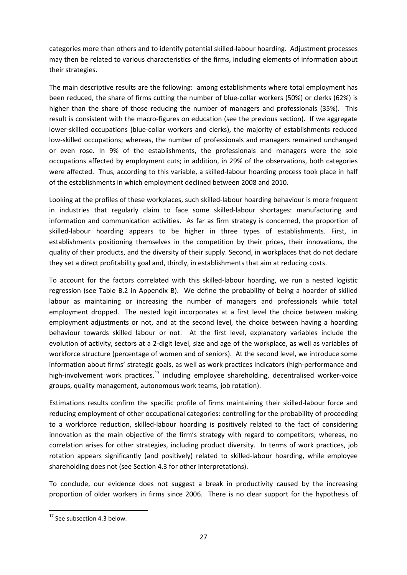categories more than others and to identify potential skilled-labour hoarding. Adjustment processes may then be related to various characteristics of the firms, including elements of information about their strategies.

The main descriptive results are the following: among establishments where total employment has been reduced, the share of firms cutting the number of blue-collar workers (50%) or clerks (62%) is higher than the share of those reducing the number of managers and professionals (35%). This result is consistent with the macro-figures on education (see the previous section). If we aggregate lower-skilled occupations (blue-collar workers and clerks), the majority of establishments reduced low-skilled occupations; whereas, the number of professionals and managers remained unchanged or even rose. In 9% of the establishments, the professionals and managers were the sole occupations affected by employment cuts; in addition, in 29% of the observations, both categories were affected. Thus, according to this variable, a skilled-labour hoarding process took place in half of the establishments in which employment declined between 2008 and 2010.

Looking at the profiles of these workplaces, such skilled-labour hoarding behaviour is more frequent in industries that regularly claim to face some skilled-labour shortages: manufacturing and information and communication activities. As far as firm strategy is concerned, the proportion of skilled-labour hoarding appears to be higher in three types of establishments. First, in establishments positioning themselves in the competition by their prices, their innovations, the quality of their products, and the diversity of their supply. Second, in workplaces that do not declare they set a direct profitability goal and, thirdly, in establishments that aim at reducing costs.

To account for the factors correlated with this skilled-labour hoarding, we run a nested logistic regression (see Table B.2 in Appendix B). We define the probability of being a hoarder of skilled labour as maintaining or increasing the number of managers and professionals while total employment dropped. The nested logit incorporates at a first level the choice between making employment adjustments or not, and at the second level, the choice between having a hoarding behaviour towards skilled labour or not. At the first level, explanatory variables include the evolution of activity, sectors at a 2-digit level, size and age of the workplace, as well as variables of workforce structure (percentage of women and of seniors). At the second level, we introduce some information about firms' strategic goals, as well as work practices indicators (high-performance and high-involvement work practices,<sup>[17](#page-25-0)</sup> including employee shareholding, decentralised worker-voice groups, quality management, autonomous work teams, job rotation).

Estimations results confirm the specific profile of firms maintaining their skilled-labour force and reducing employment of other occupational categories: controlling for the probability of proceeding to a workforce reduction, skilled-labour hoarding is positively related to the fact of considering innovation as the main objective of the firm's strategy with regard to competitors; whereas, no correlation arises for other strategies, including product diversity. In terms of work practices, job rotation appears significantly (and positively) related to skilled-labour hoarding, while employee shareholding does not (see Section 4.3 for other interpretations).

To conclude, our evidence does not suggest a break in productivity caused by the increasing proportion of older workers in firms since 2006. There is no clear support for the hypothesis of

<span id="page-28-0"></span><sup>&</sup>lt;sup>17</sup> See subsection 4.3 below.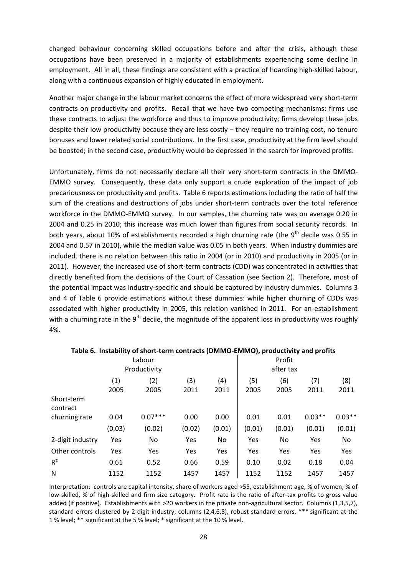changed behaviour concerning skilled occupations before and after the crisis, although these occupations have been preserved in a majority of establishments experiencing some decline in employment. All in all, these findings are consistent with a practice of hoarding high-skilled labour, along with a continuous expansion of highly educated in employment.

Another major change in the labour market concerns the effect of more widespread very short-term contracts on productivity and profits. Recall that we have two competing mechanisms: firms use these contracts to adjust the workforce and thus to improve productivity; firms develop these jobs despite their low productivity because they are less costly - they require no training cost, no tenure bonuses and lower related social contributions. In the first case, productivity at the firm level should be boosted; in the second case, productivity would be depressed in the search for improved profits.

Unfortunately, firms do not necessarily declare all their very short-term contracts in the DMMO-EMMO survey. Consequently, these data only support a crude exploration of the impact of job precariousness on productivity and profits. Table 6 reports estimations including the ratio of half the sum of the creations and destructions of jobs under short-term contracts over the total reference workforce in the DMMO-EMMO survey. In our samples, the churning rate was on average 0.20 in 2004 and 0.25 in 2010; this increase was much lower than figures from social security records. In both years, about 10% of establishments recorded a high churning rate (the  $9<sup>th</sup>$  decile was 0.55 in 2004 and 0.57 in 2010), while the median value was 0.05 in both years. When industry dummies are included, there is no relation between this ratio in 2004 (or in 2010) and productivity in 2005 (or in 2011). However, the increased use of short-term contracts (CDD) was concentrated in activities that directly benefited from the decisions of the Court of Cassation (see Section 2). Therefore, most of the potential impact was industry-specific and should be captured by industry dummies. Columns 3 and 4 of Table 6 provide estimations without these dummies: while higher churning of CDDs was associated with higher productivity in 2005, this relation vanished in 2011. For an establishment with a churning rate in the  $9<sup>th</sup>$  decile, the magnitude of the apparent loss in productivity was roughly 4%.

|                        |             | Labour<br>Productivity |             |             |             | Profit<br>after tax |             |             |
|------------------------|-------------|------------------------|-------------|-------------|-------------|---------------------|-------------|-------------|
|                        | (1)<br>2005 | (2)<br>2005            | (3)<br>2011 | (4)<br>2011 | (5)<br>2005 | (6)<br>2005         | (7)<br>2011 | (8)<br>2011 |
| Short-term<br>contract |             |                        |             |             |             |                     |             |             |
| churning rate          | 0.04        | $0.07***$              | 0.00        | 0.00        | 0.01        | 0.01                | $0.03**$    | $0.03**$    |
|                        | (0.03)      | (0.02)                 | (0.02)      | (0.01)      | (0.01)      | (0.01)              | (0.01)      | (0.01)      |
| 2-digit industry       | Yes         | No                     | Yes         | No          | Yes         | No                  | Yes         | No          |
| Other controls         | Yes         | Yes                    | Yes         | Yes         | Yes         | Yes                 | Yes         | Yes         |
| R <sup>2</sup>         | 0.61        | 0.52                   | 0.66        | 0.59        | 0.10        | 0.02                | 0.18        | 0.04        |
| N                      | 1152        | 1152                   | 1457        | 1457        | 1152        | 1152                | 1457        | 1457        |

#### **Table 6. Instability of short-term contracts (DMMO-EMMO), productivity and profits**

Interpretation: controls are capital intensity, share of workers aged >55, establishment age, % of women, % of low-skilled, % of high-skilled and firm size category. Profit rate is the ratio of after-tax profits to gross value added (if positive). Establishments with >20 workers in the private non-agricultural sector. Columns (1,3,5,7), standard errors clustered by 2-digit industry; columns (2,4,6,8), robust standard errors. \*\*\* significant at the 1 % level; \*\* significant at the 5 % level; \* significant at the 10 % level.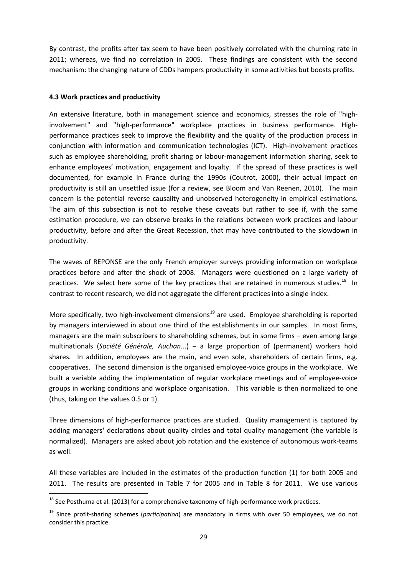By contrast, the profits after tax seem to have been positively correlated with the churning rate in 2011; whereas, we find no correlation in 2005. These findings are consistent with the second mechanism: the changing nature of CDDs hampers productivity in some activities but boosts profits.

#### **4.3 Work practices and productivity**

An extensive literature, both in management science and economics, stresses the role of "highinvolvement" and "high-performance" workplace practices in business performance. Highperformance practices seek to improve the flexibility and the quality of the production process in conjunction with information and communication technologies (ICT). High-involvement practices such as employee shareholding, profit sharing or labour-management information sharing, seek to enhance employees' motivation, engagement and loyalty. If the spread of these practices is well documented, for example in France during the 1990s (Coutrot, 2000), their actual impact on productivity is still an unsettled issue (for a review, see Bloom and Van Reenen, 2010). The main concern is the potential reverse causality and unobserved heterogeneity in empirical estimations. The aim of this subsection is not to resolve these caveats but rather to see if, with the same estimation procedure, we can observe breaks in the relations between work practices and labour productivity, before and after the Great Recession, that may have contributed to the slowdown in productivity.

The waves of REPONSE are the only French employer surveys providing information on workplace practices before and after the shock of 2008. Managers were questioned on a large variety of practices. We select here some of the key practices that are retained in numerous studies.<sup>[18](#page-28-0)</sup> In contrast to recent research, we did not aggregate the different practices into a single index.

More specifically, two high-involvement dimensions<sup>[19](#page-30-0)</sup> are used. Employee shareholding is reported by managers interviewed in about one third of the establishments in our samples. In most firms, managers are the main subscribers to shareholding schemes, but in some firms – even among large multinationals (*Société Générale, Auchan*...) ‒ a large proportion of (permanent) workers hold shares. In addition, employees are the main, and even sole, shareholders of certain firms, e.g. cooperatives. The second dimension is the organised employee-voice groups in the workplace. We built a variable adding the implementation of regular workplace meetings and of employee-voice groups in working conditions and workplace organisation. This variable is then normalized to one (thus, taking on the values 0.5 or 1).

Three dimensions of high-performance practices are studied. Quality management is captured by adding managers' declarations about quality circles and total quality management (the variable is normalized). Managers are asked about job rotation and the existence of autonomous work-teams as well.

<span id="page-30-1"></span>All these variables are included in the estimates of the production function (1) for both 2005 and 2011. The results are presented in Table 7 for 2005 and in Table 8 for 2011. We use various

<sup>&</sup>lt;sup>18</sup> See Posthuma et al. (2013) for a comprehensive taxonomy of high-performance work practices.

<span id="page-30-0"></span><sup>19</sup> Since profit-sharing schemes (*participation*) are mandatory in firms with over 50 employees, we do not consider this practice.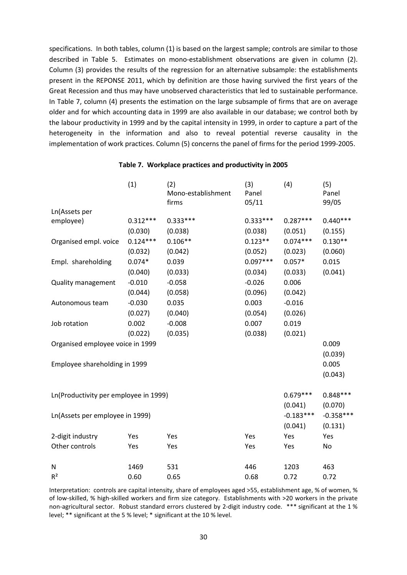specifications. In both tables, column (1) is based on the largest sample; controls are similar to those described in Table 5. Estimates on mono-establishment observations are given in column (2). Column (3) provides the results of the regression for an alternative subsample: the establishments present in the REPONSE 2011, which by definition are those having survived the first years of the Great Recession and thus may have unobserved characteristics that led to sustainable performance. In Table 7, column (4) presents the estimation on the large subsample of firms that are on average older and for which accounting data in 1999 are also available in our database; we control both by the labour productivity in 1999 and by the capital intensity in 1999, in order to capture a part of the heterogeneity in the information and also to reveal potential reverse causality in the implementation of work practices. Column (5) concerns the panel of firms for the period 1999-2005.

|                                       | (1)        | (2)<br>Mono-establishment<br>firms | (3)<br>Panel<br>05/11 | (4)         | (5)<br>Panel<br>99/05 |
|---------------------------------------|------------|------------------------------------|-----------------------|-------------|-----------------------|
| Ln(Assets per                         |            |                                    |                       |             |                       |
| employee)                             | $0.312***$ | $0.333***$                         | $0.333***$            | $0.287***$  | $0.440***$            |
|                                       | (0.030)    | (0.038)                            | (0.038)               | (0.051)     | (0.155)               |
| Organised empl. voice                 | $0.124***$ | $0.106**$                          | $0.123**$             | $0.074***$  | $0.130**$             |
|                                       | (0.032)    | (0.042)                            | (0.052)               | (0.023)     | (0.060)               |
| Empl. shareholding                    | $0.074*$   | 0.039                              | $0.097***$            | $0.057*$    | 0.015                 |
|                                       | (0.040)    | (0.033)                            | (0.034)               | (0.033)     | (0.041)               |
| <b>Quality management</b>             | $-0.010$   | $-0.058$                           | $-0.026$              | 0.006       |                       |
|                                       | (0.044)    | (0.058)                            | (0.096)               | (0.042)     |                       |
| Autonomous team                       | $-0.030$   | 0.035                              | 0.003                 | $-0.016$    |                       |
|                                       | (0.027)    | (0.040)                            | (0.054)               | (0.026)     |                       |
| Job rotation                          | 0.002      | $-0.008$                           | 0.007                 | 0.019       |                       |
|                                       | (0.022)    | (0.035)                            | (0.038)               | (0.021)     |                       |
| Organised employee voice in 1999      |            |                                    |                       |             | 0.009                 |
|                                       |            |                                    |                       |             | (0.039)               |
| Employee shareholding in 1999         |            |                                    |                       |             | 0.005                 |
|                                       |            |                                    |                       |             | (0.043)               |
| Ln(Productivity per employee in 1999) |            |                                    |                       | $0.679***$  | $0.848***$            |
|                                       |            |                                    |                       | (0.041)     | (0.070)               |
| Ln(Assets per employee in 1999)       |            |                                    |                       | $-0.183***$ | $-0.358***$           |
|                                       |            |                                    |                       | (0.041)     | (0.131)               |
| 2-digit industry                      | Yes        | Yes                                | Yes                   | Yes         | Yes                   |
| Other controls                        | Yes        | Yes                                | Yes                   | Yes         | No                    |
| N                                     | 1469       | 531                                | 446                   | 1203        | 463                   |
| R <sup>2</sup>                        | 0.60       | 0.65                               | 0.68                  | 0.72        | 0.72                  |
|                                       |            |                                    |                       |             |                       |

#### **Table 7. Workplace practices and productivity in 2005**

Interpretation: controls are capital intensity, share of employees aged >55, establishment age, % of women, % of low-skilled, % high-skilled workers and firm size category. Establishments with >20 workers in the private non-agricultural sector. Robust standard errors clustered by 2-digit industry code. \*\*\* significant at the 1 % level; \*\* significant at the 5 % level; \* significant at the 10 % level.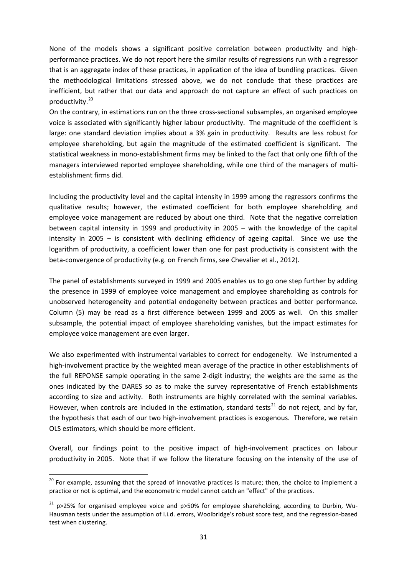None of the models shows a significant positive correlation between productivity and highperformance practices. We do not report here the similar results of regressions run with a regressor that is an aggregate index of these practices, in application of the idea of bundling practices. Given the methodological limitations stressed above, we do not conclude that these practices are inefficient, but rather that our data and approach do not capture an effect of such practices on productivity. [20](#page-30-1)

On the contrary, in estimations run on the three cross-sectional subsamples, an organised employee voice is associated with significantly higher labour productivity. The magnitude of the coefficient is large: one standard deviation implies about a 3% gain in productivity. Results are less robust for employee shareholding, but again the magnitude of the estimated coefficient is significant. The statistical weakness in mono-establishment firms may be linked to the fact that only one fifth of the managers interviewed reported employee shareholding, while one third of the managers of multiestablishment firms did.

Including the productivity level and the capital intensity in 1999 among the regressors confirms the qualitative results; however, the estimated coefficient for both employee shareholding and employee voice management are reduced by about one third. Note that the negative correlation between capital intensity in 1999 and productivity in 2005 – with the knowledge of the capital intensity in 2005 – is consistent with declining efficiency of ageing capital. Since we use the logarithm of productivity, a coefficient lower than one for past productivity is consistent with the beta-convergence of productivity (e.g. on French firms, see Chevalier et al., 2012).

The panel of establishments surveyed in 1999 and 2005 enables us to go one step further by adding the presence in 1999 of employee voice management and employee shareholding as controls for unobserved heterogeneity and potential endogeneity between practices and better performance. Column (5) may be read as a first difference between 1999 and 2005 as well. On this smaller subsample, the potential impact of employee shareholding vanishes, but the impact estimates for employee voice management are even larger.

We also experimented with instrumental variables to correct for endogeneity. We instrumented a high-involvement practice by the weighted mean average of the practice in other establishments of the full REPONSE sample operating in the same 2-digit industry; the weights are the same as the ones indicated by the DARES so as to make the survey representative of French establishments according to size and activity. Both instruments are highly correlated with the seminal variables. However, when controls are included in the estimation, standard tests<sup>[21](#page-32-0)</sup> do not reject, and by far, the hypothesis that each of our two high-involvement practices is exogenous. Therefore, we retain OLS estimators, which should be more efficient.

Overall, our findings point to the positive impact of high-involvement practices on labour productivity in 2005. Note that if we follow the literature focusing on the intensity of the use of

 $20$  For example, assuming that the spread of innovative practices is mature; then, the choice to implement a practice or not is optimal, and the econometric model cannot catch an "effect" of the practices.

<span id="page-32-1"></span><span id="page-32-0"></span> $21$  p>25% for organised employee voice and p>50% for employee shareholding, according to Durbin, Wu-Hausman tests under the assumption of i.i.d. errors, Woolbridge's robust score test, and the regression-based test when clustering.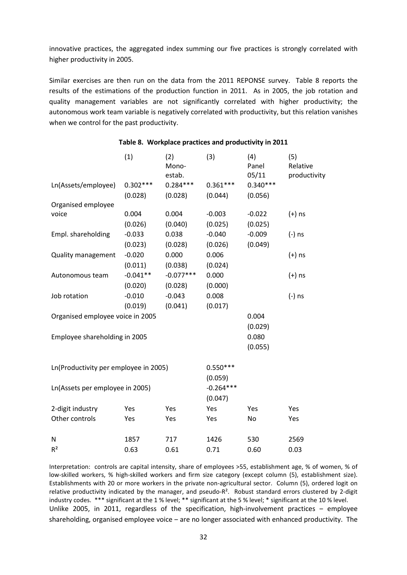innovative practices, the aggregated index summing our five practices is strongly correlated with higher productivity in 2005.

Similar exercises are then run on the data from the 2011 REPONSE survey. Table 8 reports the results of the estimations of the production function in 2011. As in 2005, the job rotation and quality management variables are not significantly correlated with higher productivity; the autonomous work team variable is negatively correlated with productivity, but this relation vanishes when we control for the past productivity.

|                                       | (1)        | (2)<br>Mono-<br>estab. | (3)         | (4)<br>Panel<br>05/11 | (5)<br>Relative<br>productivity |
|---------------------------------------|------------|------------------------|-------------|-----------------------|---------------------------------|
| Ln(Assets/employee)                   | $0.302***$ | $0.284***$             | $0.361***$  | $0.340***$            |                                 |
|                                       | (0.028)    | (0.028)                | (0.044)     | (0.056)               |                                 |
| Organised employee                    |            |                        |             |                       |                                 |
| voice                                 | 0.004      | 0.004                  | $-0.003$    | $-0.022$              | $(+)$ ns                        |
|                                       | (0.026)    | (0.040)                | (0.025)     | (0.025)               |                                 |
| Empl. shareholding                    | $-0.033$   | 0.038                  | $-0.040$    | $-0.009$              | (-) ns                          |
|                                       | (0.023)    | (0.028)                | (0.026)     | (0.049)               |                                 |
| Quality management                    | $-0.020$   | 0.000                  | 0.006       |                       | $(+)$ ns                        |
|                                       | (0.011)    | (0.038)                | (0.024)     |                       |                                 |
| Autonomous team                       | $-0.041**$ | $-0.077***$            | 0.000       |                       | $(+)$ ns                        |
|                                       | (0.020)    | (0.028)                | (0.000)     |                       |                                 |
| Job rotation                          | $-0.010$   | $-0.043$               | 0.008       |                       | (-) ns                          |
|                                       | (0.019)    | (0.041)                | (0.017)     |                       |                                 |
| Organised employee voice in 2005      |            |                        |             | 0.004                 |                                 |
|                                       |            |                        |             | (0.029)               |                                 |
| Employee shareholding in 2005         |            |                        |             | 0.080                 |                                 |
|                                       |            |                        |             | (0.055)               |                                 |
| Ln(Productivity per employee in 2005) |            |                        | $0.550***$  |                       |                                 |
|                                       |            |                        | (0.059)     |                       |                                 |
| Ln(Assets per employee in 2005)       |            |                        | $-0.264***$ |                       |                                 |
|                                       |            |                        | (0.047)     |                       |                                 |
| 2-digit industry                      | Yes        | Yes                    | Yes         | Yes                   | Yes                             |
| Other controls                        | Yes        | Yes                    | Yes         | No                    | Yes                             |
| N                                     | 1857       | 717                    | 1426        | 530                   | 2569                            |
| $R^2$                                 | 0.63       | 0.61                   | 0.71        | 0.60                  | 0.03                            |

#### **Table 8. Workplace practices and productivity in 2011**

Interpretation: controls are capital intensity, share of employees >55, establishment age, % of women, % of low-skilled workers, % high-skilled workers and firm size category (except column (5), establishment size). Establishments with 20 or more workers in the private non-agricultural sector. Column (5), ordered logit on relative productivity indicated by the manager, and pseudo-R<sup>2</sup>. Robust standard errors clustered by 2-digit industry codes. \*\*\* significant at the 1 % level; \*\* significant at the 5 % level; \* significant at the 10 % level. Unlike 2005, in 2011, regardless of the specification, high-involvement practices  $-$  employee shareholding, organised employee voice – are no longer associated with enhanced productivity. The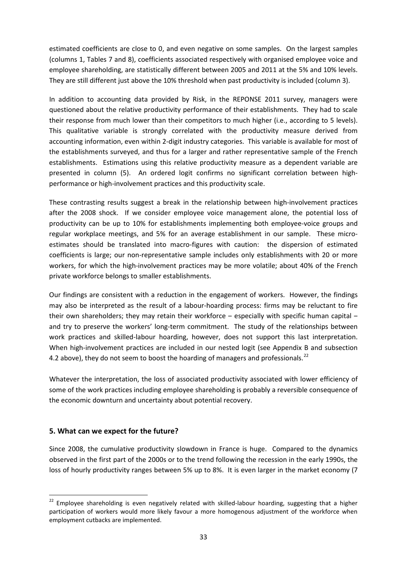estimated coefficients are close to 0, and even negative on some samples. On the largest samples (columns 1, Tables 7 and 8), coefficients associated respectively with organised employee voice and employee shareholding, are statistically different between 2005 and 2011 at the 5% and 10% levels. They are still different just above the 10% threshold when past productivity is included (column 3).

In addition to accounting data provided by Risk, in the REPONSE 2011 survey, managers were questioned about the relative productivity performance of their establishments. They had to scale their response from much lower than their competitors to much higher (i.e., according to 5 levels). This qualitative variable is strongly correlated with the productivity measure derived from accounting information, even within 2-digit industry categories. This variable is available for most of the establishments surveyed, and thus for a larger and rather representative sample of the French establishments. Estimations using this relative productivity measure as a dependent variable are presented in column (5). An ordered logit confirms no significant correlation between highperformance or high-involvement practices and this productivity scale.

These contrasting results suggest a break in the relationship between high-involvement practices after the 2008 shock. If we consider employee voice management alone, the potential loss of productivity can be up to 10% for establishments implementing both employee-voice groups and regular workplace meetings, and 5% for an average establishment in our sample. These microestimates should be translated into macro-figures with caution: the dispersion of estimated coefficients is large; our non-representative sample includes only establishments with 20 or more workers, for which the high-involvement practices may be more volatile; about 40% of the French private workforce belongs to smaller establishments.

Our findings are consistent with a reduction in the engagement of workers. However, the findings may also be interpreted as the result of a labour-hoarding process: firms may be reluctant to fire their own shareholders; they may retain their workforce  $-$  especially with specific human capital  $$ and try to preserve the workers' long-term commitment. The study of the relationships between work practices and skilled-labour hoarding, however, does not support this last interpretation. When high-involvement practices are included in our nested logit (see Appendix B and subsection 4.2 above), they do not seem to boost the hoarding of managers and professionals.<sup>[22](#page-32-1)</sup>

Whatever the interpretation, the loss of associated productivity associated with lower efficiency of some of the work practices including employee shareholding is probably a reversible consequence of the economic downturn and uncertainty about potential recovery.

#### **5. What can we expect for the future?**

Since 2008, the cumulative productivity slowdown in France is huge. Compared to the dynamics observed in the first part of the 2000s or to the trend following the recession in the early 1990s, the loss of hourly productivity ranges between 5% up to 8%. It is even larger in the market economy (7

<sup>&</sup>lt;sup>22</sup> Employee shareholding is even negatively related with skilled-labour hoarding, suggesting that a higher participation of workers would more likely favour a more homogenous adjustment of the workforce when employment cutbacks are implemented.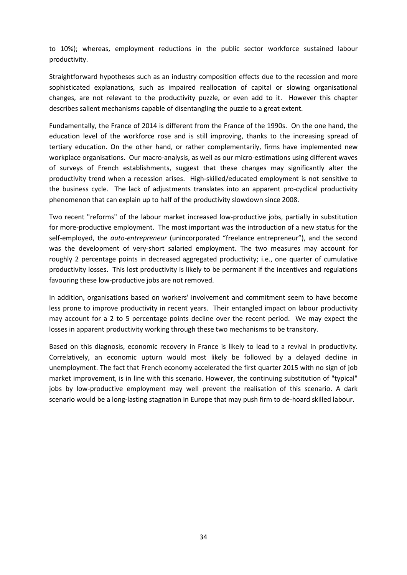to 10%); whereas, employment reductions in the public sector workforce sustained labour productivity.

Straightforward hypotheses such as an industry composition effects due to the recession and more sophisticated explanations, such as impaired reallocation of capital or slowing organisational changes, are not relevant to the productivity puzzle, or even add to it. However this chapter describes salient mechanisms capable of disentangling the puzzle to a great extent.

Fundamentally, the France of 2014 is different from the France of the 1990s. On the one hand, the education level of the workforce rose and is still improving, thanks to the increasing spread of tertiary education. On the other hand, or rather complementarily, firms have implemented new workplace organisations. Our macro-analysis, as well as our micro-estimations using different waves of surveys of French establishments, suggest that these changes may significantly alter the productivity trend when a recession arises. High-skilled/educated employment is not sensitive to the business cycle. The lack of adjustments translates into an apparent pro-cyclical productivity phenomenon that can explain up to half of the productivity slowdown since 2008.

Two recent "reforms" of the labour market increased low-productive jobs, partially in substitution for more-productive employment. The most important was the introduction of a new status for the self-employed, the *auto-entrepreneur* (unincorporated "freelance entrepreneur"), and the second was the development of very-short salaried employment. The two measures may account for roughly 2 percentage points in decreased aggregated productivity; i.e., one quarter of cumulative productivity losses. This lost productivity is likely to be permanent if the incentives and regulations favouring these low-productive jobs are not removed.

In addition, organisations based on workers' involvement and commitment seem to have become less prone to improve productivity in recent years. Their entangled impact on labour productivity may account for a 2 to 5 percentage points decline over the recent period. We may expect the losses in apparent productivity working through these two mechanisms to be transitory.

Based on this diagnosis, economic recovery in France is likely to lead to a revival in productivity. Correlatively, an economic upturn would most likely be followed by a delayed decline in unemployment. The fact that French economy accelerated the first quarter 2015 with no sign of job market improvement, is in line with this scenario. However, the continuing substitution of "typical" jobs by low-productive employment may well prevent the realisation of this scenario. A dark scenario would be a long-lasting stagnation in Europe that may push firm to de-hoard skilled labour.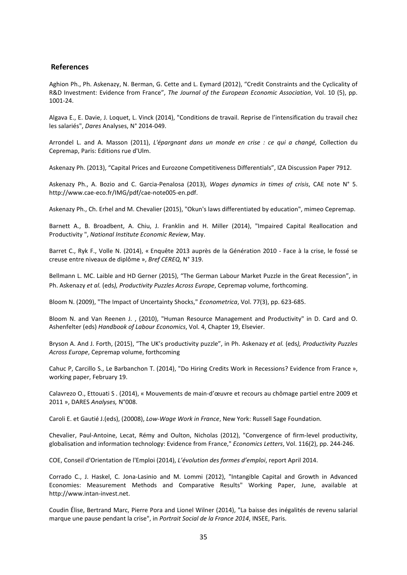#### **References**

Aghion Ph., Ph. Askenazy, N. Berman, G. Cette and L. Eymard (2012), "Credit Constraints and the Cyclicality of R&D Investment: Evidence from France", *The Journal of the European Economic Association*, Vol. 10 (5), pp. 1001-24.

Algava E., E. Davie, J. Loquet, L. Vinck (2014), "Conditions de travail. Reprise de l'intensification du travail chez les salariés", *Dares* Analyses, N° 2014-049.

Arrondel L. and A. Masson (2011), *L'épargnant dans un monde en crise : ce qui a changé,* Collection du Cepremap, Paris: Editions rue d'Ulm.

Askenazy Ph. (2013), "Capital Prices and Eurozone Competitiveness Differentials", IZA Discussion Paper 7912.

Askenazy Ph., A. Bozio and C. Garcia-Penalosa (2013), *Wages dynamics in times of crisis*, CAE note N° 5. http://www.cae-eco.fr/IMG/pdf/cae-note005-en.pdf.

Askenazy Ph., Ch. Erhel and M. Chevalier (2015), "Okun's laws differentiated by education", mimeo Cepremap.

Barnett A., B. Broadbent, A. Chiu, J. Franklin and H. Miller (2014), "Impaired Capital Reallocation and Productivity ", *National Institute Economic Review*, May.

Barret C., Ryk F., Volle N. (2014), « Enquête 2013 auprès de la Génération 2010 - Face à la crise, le fossé se creuse entre niveaux de diplôme », *Bref CEREQ*, N° 319.

Bellmann L. MC. Laible and HD Gerner (2015), "The German Labour Market Puzzle in the Great Recession", in Ph. Askenazy *et al.* (eds*), Productivity Puzzles Across Europe*, Cepremap volume, forthcoming.

Bloom N. (2009), "The Impact of Uncertainty Shocks," *Econometrica*, Vol. 77(3), pp. 623-685.

Bloom N. and Van Reenen J. , (2010), "Human Resource Management and Productivity" in D. Card and O. Ashenfelter (eds) *Handbook of Labour Economics*, Vol. 4, Chapter 19, Elsevier.

Bryson A. And J. Forth, (2015), "The UK's productivity puzzle", in Ph. Askenazy *et al.* (eds*), Productivity Puzzles Across Europe*, Cepremap volume, forthcoming

Cahuc P, Carcillo S., Le Barbanchon T. (2014), "Do Hiring Credits Work in Recessions? Evidence from France », working paper, February 19.

Calavrezo O., Ettouati S . (2014), « Mouvements de main-d'œuvre et recours au chômage partiel entre 2009 et 2011 », DARES *Analyses,* N°008.

Caroli E. et Gautié J.(eds), (20008), *Low-Wage Work in France*, New York: Russell Sage Foundation.

Chevalier, Paul-Antoine, Lecat, Rémy and Oulton, Nicholas (2012), "Convergence of firm-level productivity, globalisation and information technology: Evidence from France," *Economics Letters*, Vol. 116(2), pp. 244-246.

COE, Conseil d'Orientation de l'Emploi (2014), *L'évolution des formes d'emploi*, report April 2014.

Corrado C., J. Haskel, C. Jona-Lasinio and M. Lommi (2012), "Intangible Capital and Growth in Advanced Economies: Measurement Methods and Comparative Results" Working Paper, June, available at http://www.intan-invest.net.

Coudin Élise, Bertrand Marc, Pierre Pora and Lionel Wilner (2014), "La baisse des inégalités de revenu salarial marque une pause pendant la crise", in *Portrait Social de la France 2014*, INSEE, Paris.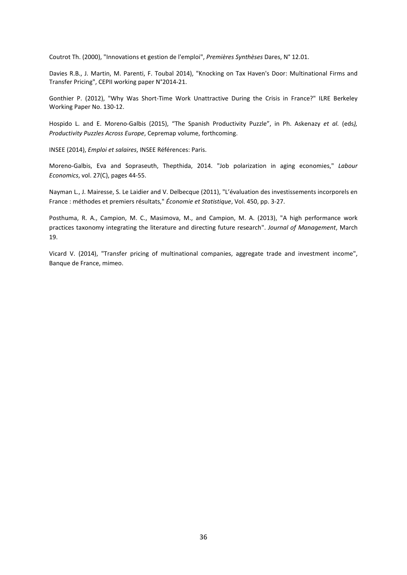Coutrot Th. (2000), "Innovations et gestion de l'emploi", *Premières Synthèses* Dares, N° 12.01.

Davies R.B., J. Martin, M. Parenti, F. Toubal 2014), "Knocking on Tax Haven's Door: Multinational Firms and Transfer Pricing", CEPII working paper N°2014-21.

Gonthier P. (2012), "Why Was Short-Time Work Unattractive During the Crisis in France?" ILRE Berkeley Working Paper No. 130-12.

Hospido L. and E. Moreno-Galbis (2015), "The Spanish Productivity Puzzle", in Ph. Askenazy *et al.* (eds*), Productivity Puzzles Across Europe*, Cepremap volume, forthcoming.

INSEE (2014), *Emploi et salaires*, INSEE Références: Paris.

Moreno-Galbis, Eva and Sopraseuth, Thepthida, 2014. "Job polarization in aging economies," *Labour Economics*, vol. 27(C), pages 44-55.

Nayman L., J. Mairesse, S. Le Laidier and V. Delbecque (2011), "L'évaluation des investissements incorporels en France : méthodes et premiers résultats," *Économie et Statistique*, Vol. 450, pp. 3-27.

Posthuma, R. A., Campion, M. C., Masimova, M., and Campion, M. A. (2013), "A high performance work practices taxonomy integrating the literature and directing future research". *Journal of Management*, March 19.

Vicard V. (2014), "Transfer pricing of multinational companies, aggregate trade and investment income", Banque de France, mimeo.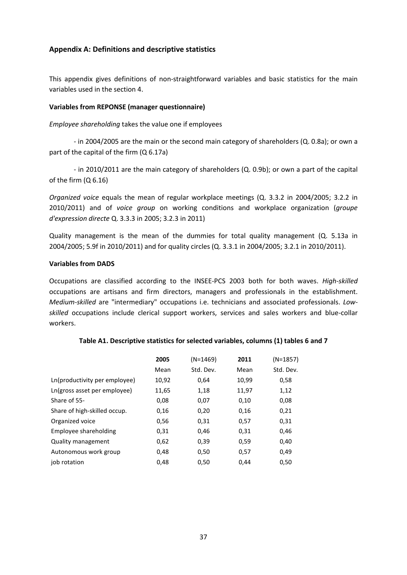#### **Appendix A: Definitions and descriptive statistics**

This appendix gives definitions of non-straightforward variables and basic statistics for the main variables used in the section 4.

#### **Variables from REPONSE (manager questionnaire)**

*Employee shareholding* takes the value one if employees

- in 2004/2005 are the main or the second main category of shareholders (Q. 0.8a); or own a part of the capital of the firm (Q 6.17a)

- in 2010/2011 are the main category of shareholders (Q. 0.9b); or own a part of the capital of the firm (Q 6.16)

*Organized voice* equals the mean of regular workplace meetings (Q. 3.3.2 in 2004/2005; 3.2.2 in 2010/2011) and of *voice group* on working conditions and workplace organization (*groupe d'expression directe* Q. 3.3.3 in 2005; 3.2.3 in 2011)

Quality management is the mean of the dummies for total quality management (Q. 5.13a in 2004/2005; 5.9f in 2010/2011) and for quality circles (Q. 3.3.1 in 2004/2005; 3.2.1 in 2010/2011).

#### **Variables from DADS**

Occupations are classified according to the INSEE-PCS 2003 both for both waves. *High-skilled* occupations are artisans and firm directors, managers and professionals in the establishment. *Medium-skilled* are "intermediary" occupations i.e. technicians and associated professionals. *Lowskilled* occupations include clerical support workers, services and sales workers and blue-collar workers.

|                               | 2005  | $(N=1469)$ | 2011  | (N=1857)  |
|-------------------------------|-------|------------|-------|-----------|
|                               | Mean  | Std. Dev.  | Mean  | Std. Dev. |
| Ln(productivity per employee) | 10,92 | 0,64       | 10,99 | 0,58      |
| Ln(gross asset per employee)  | 11,65 | 1,18       | 11,97 | 1,12      |
| Share of 55-                  | 0,08  | 0,07       | 0,10  | 0,08      |
| Share of high-skilled occup.  | 0,16  | 0,20       | 0,16  | 0,21      |
| Organized voice               | 0,56  | 0,31       | 0,57  | 0,31      |
| Employee shareholding         | 0,31  | 0,46       | 0,31  | 0,46      |
| Quality management            | 0,62  | 0,39       | 0,59  | 0,40      |
| Autonomous work group         | 0,48  | 0,50       | 0,57  | 0,49      |
| job rotation                  | 0.48  | 0,50       | 0.44  | 0,50      |

#### **Table A1. Descriptive statistics for selected variables, columns (1) tables 6 and 7**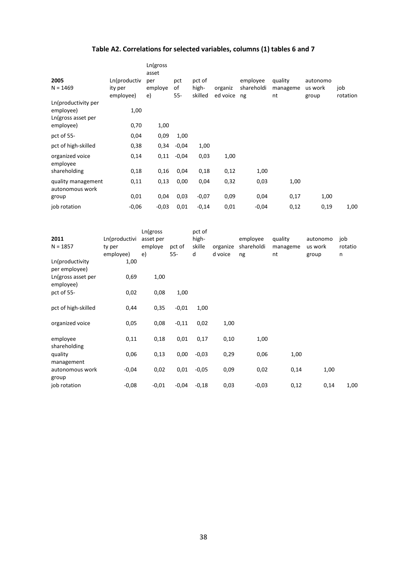### **Table A2. Correlations for selected variables, columns (1) tables 6 and 7**

| 2005<br>$N = 1469$                                     | Ln(productiv<br>ity per<br>employee) | Ln(gross<br>asset<br>per<br>employe<br>e) | pct<br>οf<br>55- | pct of<br>high-<br>skilled | organiz<br>ed voice | employee<br>shareholdi<br>ng | quality<br>manageme<br>nt | autonomo<br>us work<br>group | job<br>rotation |
|--------------------------------------------------------|--------------------------------------|-------------------------------------------|------------------|----------------------------|---------------------|------------------------------|---------------------------|------------------------------|-----------------|
| Ln(productivity per<br>employee)<br>Ln(gross asset per | 1,00                                 |                                           |                  |                            |                     |                              |                           |                              |                 |
| employee)                                              | 0,70                                 | 1,00                                      |                  |                            |                     |                              |                           |                              |                 |
| pct of 55-                                             | 0,04                                 | 0,09                                      | 1,00             |                            |                     |                              |                           |                              |                 |
| pct of high-skilled                                    | 0,38                                 | 0,34                                      | $-0,04$          | 1,00                       |                     |                              |                           |                              |                 |
| organized voice<br>employee                            | 0,14                                 | 0,11                                      | $-0.04$          | 0,03                       | 1,00                |                              |                           |                              |                 |
| shareholding                                           | 0,18                                 | 0,16                                      | 0,04             | 0,18                       | 0,12                | 1,00                         |                           |                              |                 |
| quality management<br>autonomous work                  | 0,11                                 | 0,13                                      | 0,00             | 0,04                       | 0,32                | 0,03                         | 1,00                      |                              |                 |
| group                                                  | 0,01                                 | 0,04                                      | 0,03             | $-0,07$                    | 0,09                | 0,04                         | 0,17                      | 1,00                         |                 |
| job rotation                                           | $-0,06$                              | $-0,03$                                   | 0,01             | $-0,14$                    | 0,01                | $-0,04$                      | 0,12                      | 0,19                         | 1,00            |

| 2011<br>$N = 1857$               | Ln(productivi<br>ty per<br>employee) | Ln(gross<br>asset per<br>employe<br>e) | pct of<br>$55 -$ | pct of<br>high-<br>skille<br>d | organize<br>d voice | employee<br>shareholdi<br>ng | quality<br>manageme<br>nt | autonomo<br>us work<br>group | job<br>rotatio<br>n |
|----------------------------------|--------------------------------------|----------------------------------------|------------------|--------------------------------|---------------------|------------------------------|---------------------------|------------------------------|---------------------|
| Ln(productivity<br>per employee) | 1,00                                 |                                        |                  |                                |                     |                              |                           |                              |                     |
| Ln(gross asset per<br>employee)  | 0,69                                 | 1,00                                   |                  |                                |                     |                              |                           |                              |                     |
| pct of 55-                       | 0,02                                 | 0,08                                   | 1,00             |                                |                     |                              |                           |                              |                     |
| pct of high-skilled              | 0,44                                 | 0,35                                   | $-0,01$          | 1,00                           |                     |                              |                           |                              |                     |
| organized voice                  | 0,05                                 | 0,08                                   | $-0,11$          | 0,02                           | 1,00                |                              |                           |                              |                     |
| employee<br>shareholding         | 0,11                                 | 0,18                                   | 0,01             | 0,17                           | 0,10                | 1,00                         |                           |                              |                     |
| quality<br>management            | 0,06                                 | 0,13                                   | 0,00             | $-0,03$                        | 0,29                | 0,06                         | 1,00                      |                              |                     |
| autonomous work<br>group         | $-0,04$                              | 0,02                                   | 0,01             | $-0,05$                        | 0,09                | 0,02                         | 0,14                      | 1,00                         |                     |
| job rotation                     | $-0,08$                              | $-0,01$                                | $-0,04$          | $-0,18$                        | 0,03                | $-0,03$                      | 0,12                      | 0,14                         | 1,00                |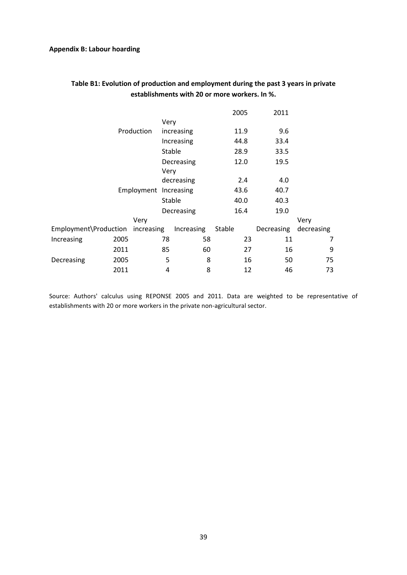#### **Appendix B: Labour hoarding**

|                       |      |            |      |            | 2005   |      | 2011       |            |
|-----------------------|------|------------|------|------------|--------|------|------------|------------|
|                       |      |            | Very |            |        |      |            |            |
|                       |      | Production |      | increasing | 11.9   |      | 9.6        |            |
|                       |      |            |      | Increasing | 44.8   |      | 33.4       |            |
|                       |      |            |      | Stable     | 28.9   |      | 33.5       |            |
|                       |      |            |      | Decreasing | 12.0   |      | 19.5       |            |
|                       |      |            | Very |            |        |      |            |            |
| Employment Increasing |      | decreasing |      |            | 2.4    | 4.0  |            |            |
|                       |      |            |      | 43.6       |        | 40.7 |            |            |
|                       |      | Stable     |      | 40.0       |        | 40.3 |            |            |
|                       |      |            |      | Decreasing |        | 16.4 | 19.0       |            |
|                       |      | Very       |      |            |        |      |            | Very       |
| Employment\Production |      | increasing |      | Increasing | Stable |      | Decreasing | decreasing |
| Increasing            | 2005 |            | 78   | 58         |        | 23   | 11         | 7          |
|                       | 2011 |            | 85   | 60         |        | 27   | 16         | 9          |
| Decreasing            | 2005 |            | 5    | 8          |        | 16   | 50         | 75         |
|                       | 2011 |            | 4    | 8          |        | 12   | 46         | 73         |

#### **Table B1: Evolution of production and employment during the past 3 years in private establishments with 20 or more workers. In %.**

Source: Authors' calculus using REPONSE 2005 and 2011. Data are weighted to be representative of establishments with 20 or more workers in the private non-agricultural sector.